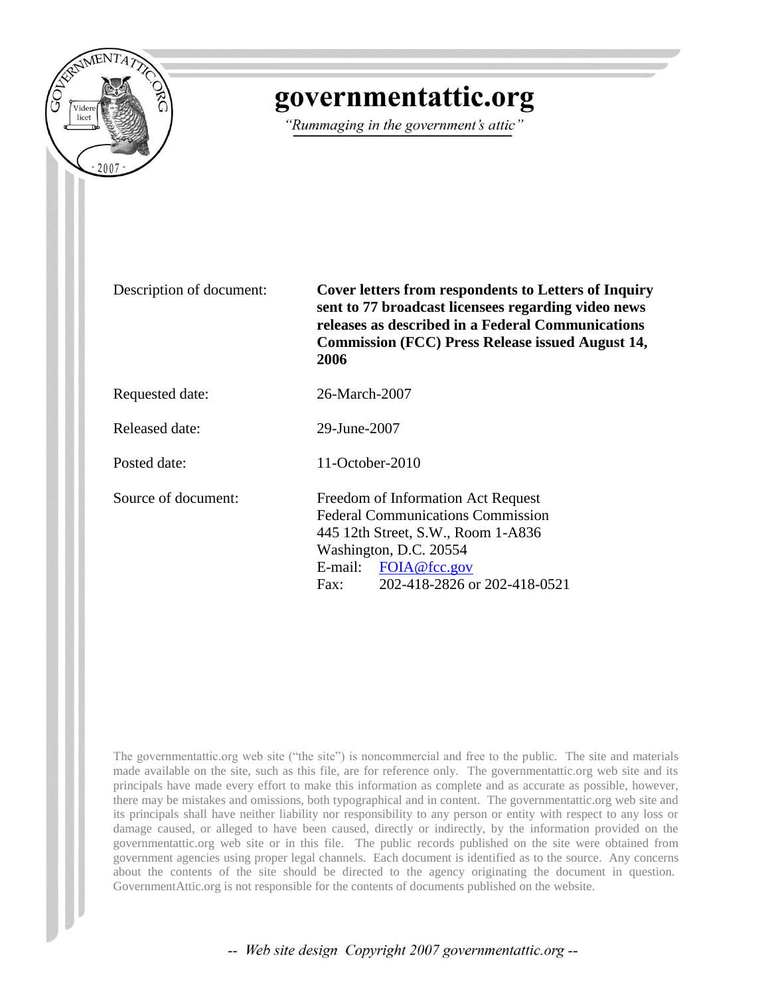

## governmentattic.org

"Rummaging in the government's attic"

Description of document: **Cover letters from respondents to Letters of Inquiry sent to 77 broadcast licensees regarding video news releases as described in a Federal Communications Commission (FCC) Press Release issued August 14, 2006**

Requested date: 26-March-2007

Released date: 29-June-2007

Posted date: 11-October-2010

Source of document: Freedom of Information Act Request Federal Communications Commission 445 12th Street, S.W., Room 1-A836 Washington, D.C. 20554 E-mail: [FOIA@fcc.gov](mailto:FOIA@fcc.gov) Fax: 202-418-2826 or 202-418-0521

The governmentattic.org web site ("the site") is noncommercial and free to the public. The site and materials made available on the site, such as this file, are for reference only. The governmentattic.org web site and its principals have made every effort to make this information as complete and as accurate as possible, however, there may be mistakes and omissions, both typographical and in content. The governmentattic.org web site and its principals shall have neither liability nor responsibility to any person or entity with respect to any loss or damage caused, or alleged to have been caused, directly or indirectly, by the information provided on the governmentattic.org web site or in this file. The public records published on the site were obtained from government agencies using proper legal channels. Each document is identified as to the source. Any concerns about the contents of the site should be directed to the agency originating the document in question. GovernmentAttic.org is not responsible for the contents of documents published on the website.

-- Web site design Copyright 2007 governmentattic.org --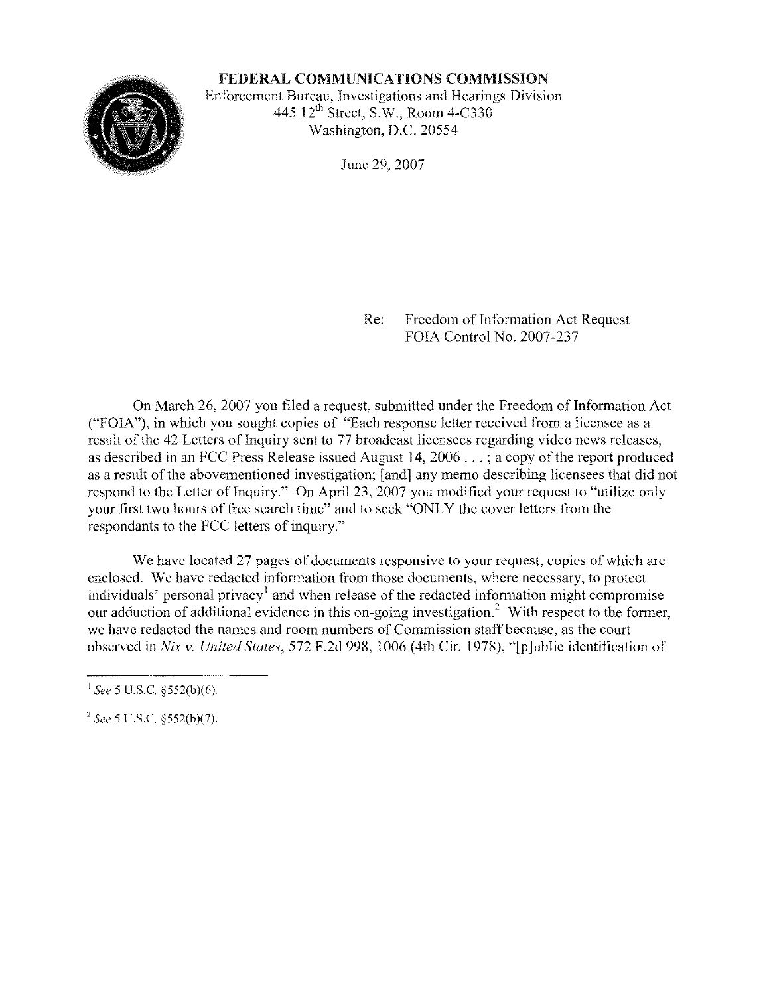FEDERAL COMMUNICATIONS COMMISSION Enforcement Bureau, Investigations and Hearings Division 445  $12<sup>th</sup>$  Street, S.W., Room 4-C330

Washington, D.C. 20554

June 29, 2007

Re: Freedom of Information Act Request FOIA Control No. 2007-237

On March 26, 2007 you filed a request, submitted under the Freedom of Information Act ("FOIA"), in which you sought copies of "Each response letter received from a licensee as a result of the 42 Letters of Inquiry sent to 77 broadcast licensees regarding video news releases, as described in an FCC Press Release issued August 14, 2006 ... ; a copy of the report produced as a result of the abovementioned investigation; [and] any memo describing licensees that did not respond to the Letter of Inquiry." On April 23, 2007 you modified your request to "utilize only your first two hours of free search time" and to seek "ONLY the cover letters from the respondants to the FCC letters of inquiry."

We have located 27 pages of documents responsive to your request, copies of which are enclosed. We have redacted information from those documents, where necessary, to protect individuals' personal privacy<sup>1</sup> and when release of the redacted information might compromise our adduction of additional evidence in this on-going investigation.<sup>2</sup> With respect to the former, we have redacted the names and room numbers of Commission staff because, as the court observed in *Nix v. United States,* 572 F.2d 998, 1006 (4th Cir. 1978), "[p]ublic identification of

<sup>&</sup>lt;sup>1</sup> See 5 U.S.C. §552(b)(6).

*<sup>2</sup> See* 5 U.S.c. §552(b)(7).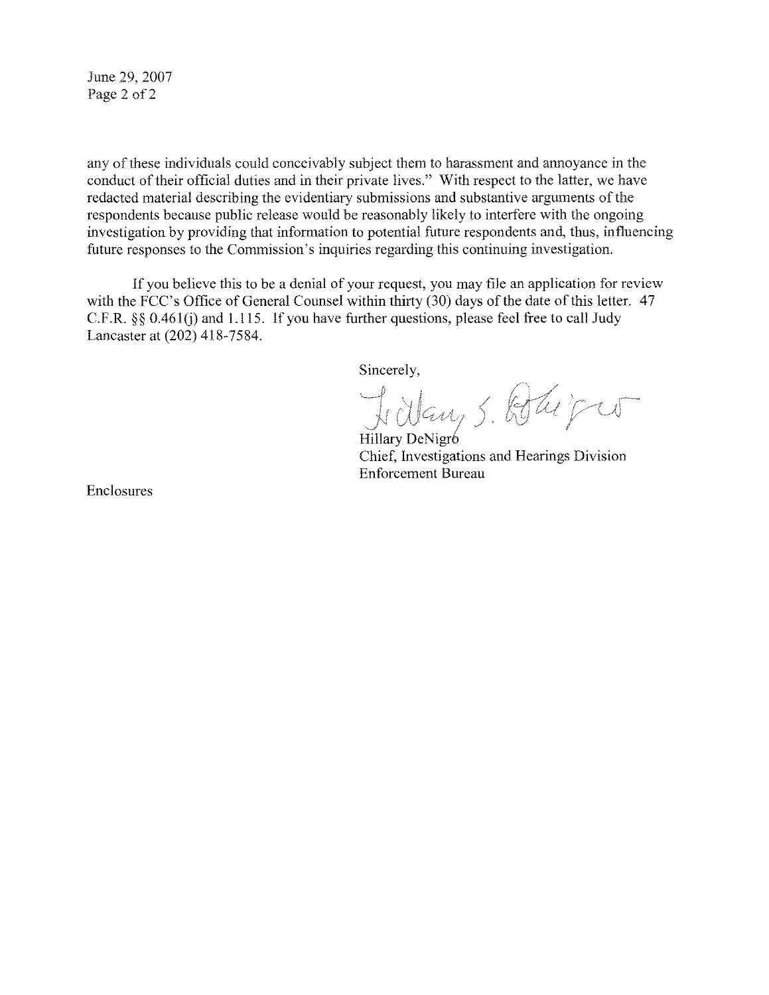June 29, 2007 Page 2 of 2

any of thesc individuals could conceivably subject them to harassment and annoyance in the conduct of their official duties and in their private lives." With respect to the latter, we have redacted material describing the evidentiary submissions and substantive arguments of the respondents because public release would be reasonably likely to interfere with the ongoing investigation by providing that information to potential future respondents and, thus, influencing future responses to the Commission's inquiries regarding this continuing investigation.

If you believe this to be a denial of your request, you may file an application for review with the FCC's Office of General Counsel within thirty (30) days of the date of this letter. 47 C.F.R.  $\S$ § 0.461(j) and 1.115. If you have further questions, please feel free to call Judy Lancaster at (202) 418-7584.

Sincerely,

 $\bigcirc$  1 au

Hillary DeNigr6 Chief, Investigations and Hearings Division Enforcement Bureau

Enclosures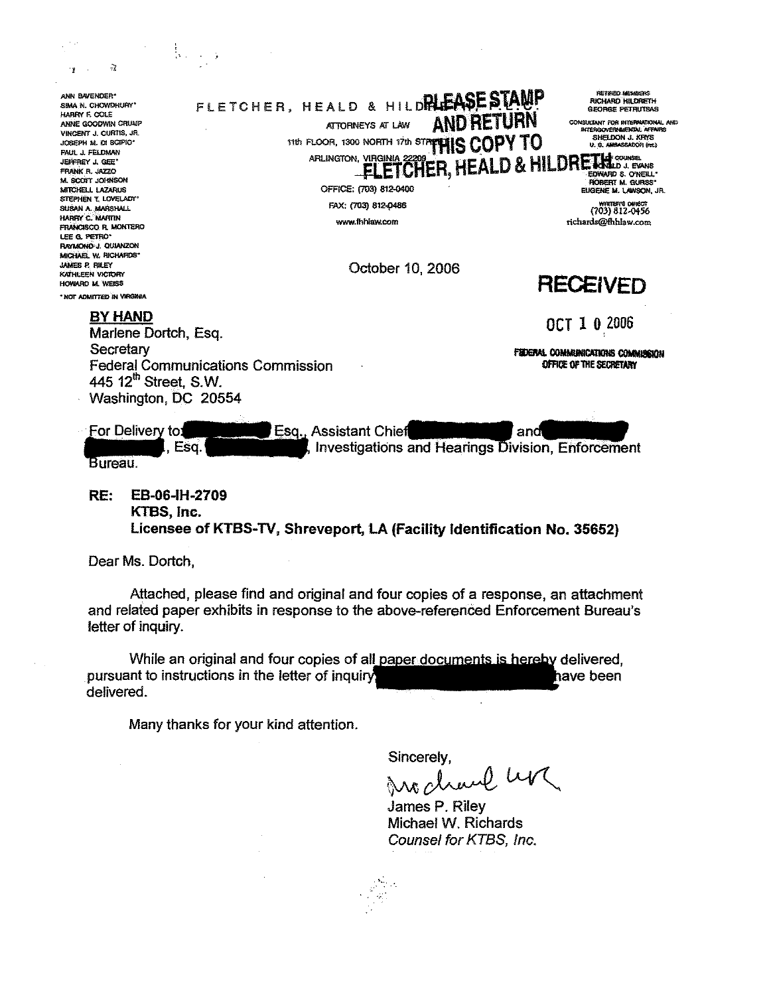$\overline{z}$ FLETCHER, HEALD & HILDRIEASE STAMP **DETIOEN MEMBER** ANN BAVENDER\* **RICHARD HILDRETH** SIMA N. CHOWDHURY **GEORGE PETRUTBAS** HARRY F. COLE **AND RETURN** ANNE GOODWIN CRUMP CONSULTANT FOR INTERNATIONAL AND INTERGOVERNMENTAL AFFAIRS ATTORNEYS AT LAW VINCENT J. CURTIS, JR. SHELDON J. KHYS TIS FLOOR, 1300 NORTH 17th STREWIS COPY TO JOSEPH M. DI SCIPIO\* U. S. AMBASSADOR (ret.) PAUL J. FELDMAN ARLINGTON, VIRGINIA 2220 CHER, HEALD & HILDRETH COUNSE JECCBEY I GEE\* FRANK R. JAZZO M. SCOTT JOHNSON **BORERT M. GUBSS** OFFICE: (703) 812-0400 MITCHELL LAZARUS EUGENE M. LAWSON, JR. STEPHEN T. LOVELADY\* FAX: (703) 812-0486 703) 812-0456 SUSAN A. MARSHALL HADDY C. MARTIN www.fhhlaw.com richards@fhhlaw.com **FRANCISCO R. MONTERO** LEE G. PETRO' RAYMOND J. QUIANZON MICHAEL W. RICHARDS\* JAMES P. RILEY October 10, 2006 KATHLEEN VICTORY **RECEIVED** HOWARD M. WEISS \* NOT ADMITTED IN VIRGINIA **BY HAND** OCT 1 0 2006 Marlene Dortch, Esq. Secretary **FEDERAL COMMUNICATIONS COMMUNISON Federal Communications Commission** OFFICE OF THE SECRETARY 445 12<sup>th</sup> Street, S.W. Washington, DC 20554 For Delivery to: Esq., Assistant Chief and . Esq **Investigations and Hearings Division. Enforcement** Bureau. EB-06-IH-2709 RE:

KTBS, Inc. Licensee of KTBS-TV, Shreveport, LA (Facility Identification No. 35652)

Dear Ms. Dortch,

 $\frac{1}{2}$  ,  $\frac{1}{2}$  ,  $\frac{1}{2}$  ,  $\frac{1}{2}$ 

Attached, please find and original and four copies of a response, an attachment and related paper exhibits in response to the above-referenced Enforcement Bureau's letter of inquiry.

While an original and four copies of all paper documents is hereby delivered, pursuant to instructions in the letter of inquiry ave been delivered.

Many thanks for your kind attention.

Sincerely,

Mccharl LV

James P. Riley Michael W. Richards Counsel for KTBS, Inc.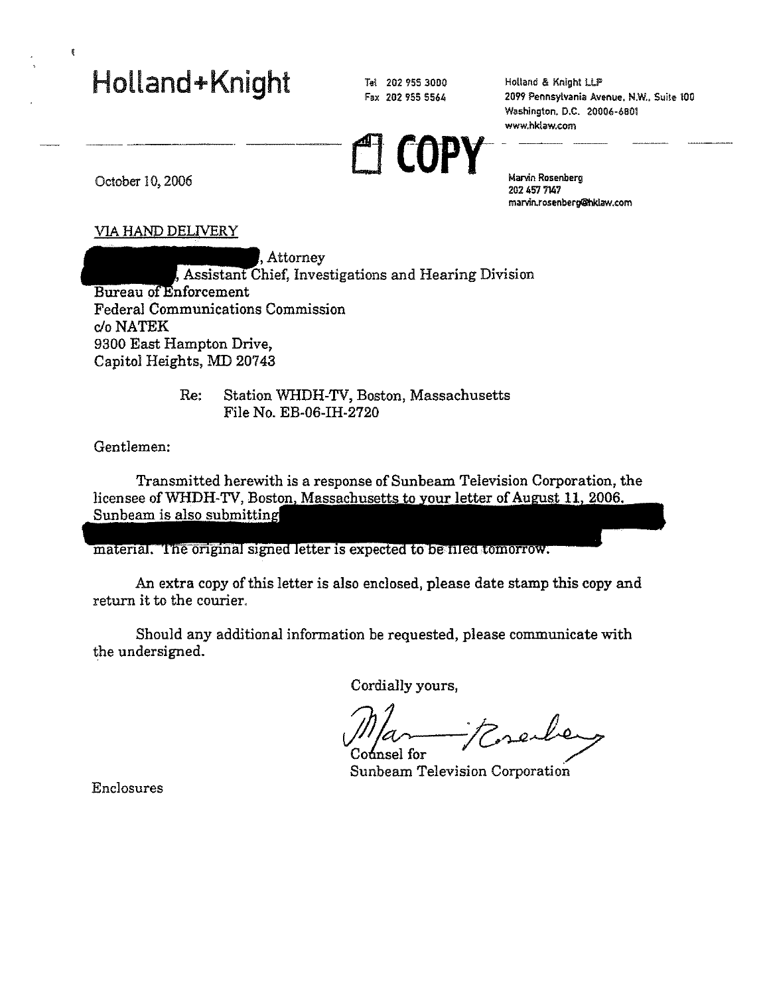# Holland+Knight

Tel 202 955 3000 Fax 202 955 5564

Holland & Knight LLP **2099 Pennsylvania Avenue. N.W .. Suite 100**  Washington. D.C. 20006-6801 **www.hkiaw.com** 

Ll **COpy-- Marvin Rosenberg** 

202457 7147 **marvin.rosenberg@hkl.aw.com** 

October 10, 2006

### VIA HAND DELIVERY

Attorney , Assistant Chief, Investigations and Hearing Division Bureau of Enforcement Federal Communications Commission c/o NATEK 9300 East Hampton Drive, Capitol Heights, MD 20743

> Re: Station WHDH-TV, Boston, Massachusetts File No. EB-06-IH-2720

Gentlemen:

Transmitted herewith is a response of Sunbeam Television Corporation, the licensee of WHDH-TV, Boston, Massachusetts to your letter of August 11, 2006. Sunbeam is also submitting

material. The original signed letter is expected to be filed tomorrow.

An extra copy of this letter is also enclosed, please date stamp this copy and return it to the courier.

Should any additional information be requested, please communicate with the undersigned.

Cordially yours,

Erenber Codnsel for

Sunbeam Television Corporation

Enclosures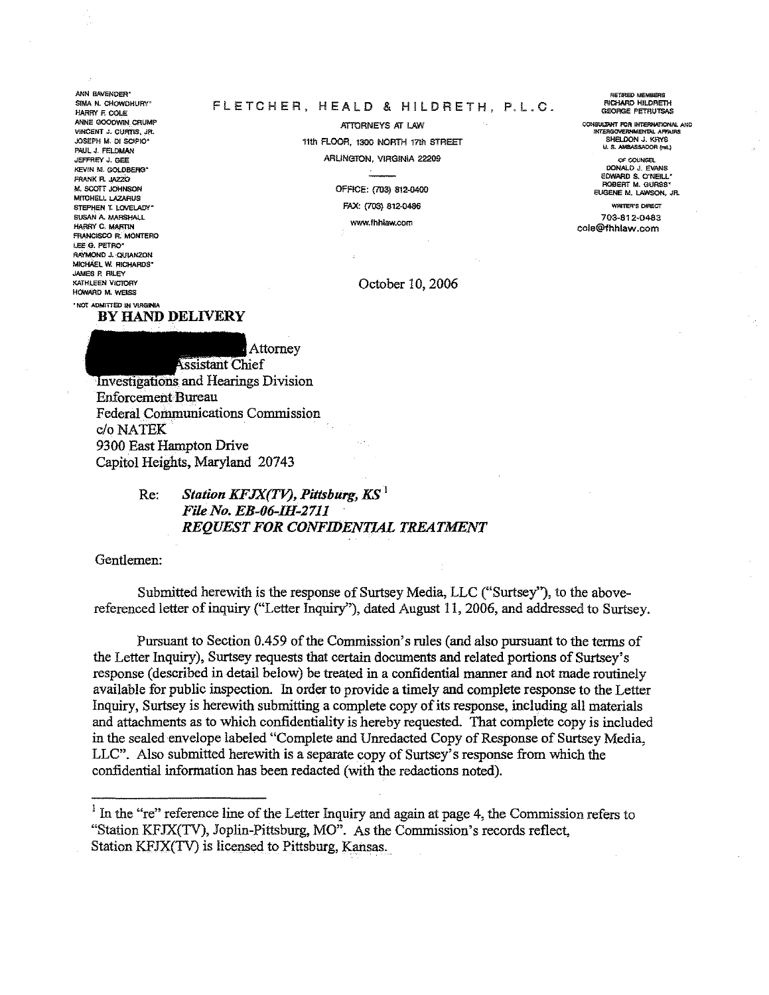ANN BAVENDER\* SIMA N. CHOWDHURY" HARRY FLOOLE ANNE GOODWIN CRUMP VINCENT J. CURTIS, JP. JOSEPH M. DI SCIPIO\* PAUL J. FELDMAN JEFFREY J. GEE KEVIN M. GOLDBERG\* FRANK R. JAZZO M. SCOTT. IOHNSON MITCHELL I AZABLIS STEPHEN T. LOVELADY' SUSAN A. MARSHALL HARRY C. MARTIN FRANCISCO R. MONTERO LEE G. PETRO\* **RAYMOND J. OLBANZON** MICHAEL W. RICHARDS' **JAMES P. RILEY KATHLEEN VICTORY** HOWARD M. WEISS 'NOT ADMITTED IN VIRGINIA

#### FLETCHER, HEALD & HILDRETH, P.L.C.

ATTORNEYS AT LAW 11th FLOOR, 1300 NORTH 17th STREET ARLINGTON, VIRGINIA 22209

> OFFICE: (703) 812-0400 FAX: (703) 812-0486

www.fhhlaw.com

October 10, 2006

RETTRED MEMB **RICHARD HILDRETH** GEORGE PETRUTSAS

CONSULTANT FOR INTERNATIONAL AND<br>INTERGOVERNMENTAL AFFAIRS SHELDON J. KRYS U. S. AMBASSADOR (res.)

OF COUNSEL<br>DONALD J. EVANS EDWARD S. O'NEILL' EUGENE M. LAWSON, JR.

**WRITER'S CHRECT** 703-812-0483 cole@fhhlaw.com

BY HAND DELIVERY



**Assistant Chief Investigations and Hearings Division Enforcement Bureau Federal Communications Commission** c/o NATEK 9300 East Hampton Drive Capitol Heights, Maryland 20743

#### Station KFJX(TV), Pittsburg,  $KS<sup>1</sup>$ Re: File No. EB-06-IH-2711 **REQUEST FOR CONFIDENTIAL TREATMENT**

Gentlemen:

Submitted herewith is the response of Surtsey Media, LLC ("Surtsey"), to the abovereferenced letter of inquiry ("Letter Inquiry"), dated August 11, 2006, and addressed to Surtsey.

Pursuant to Section 0.459 of the Commission's rules (and also pursuant to the terms of the Letter Inquiry), Surtsey requests that certain documents and related portions of Surtsey's response (described in detail below) be treated in a confidential manner and not made routinely available for public inspection. In order to provide a timely and complete response to the Letter Inquiry, Surtsey is herewith submitting a complete copy of its response, including all materials and attachments as to which confidentiality is hereby requested. That complete copy is included in the sealed envelope labeled "Complete and Unredacted Copy of Response of Surtsey Media. LLC". Also submitted herewith is a separate copy of Surtsey's response from which the confidential information has been redacted (with the redactions noted).

<sup>&</sup>lt;sup>1</sup> In the "re" reference line of the Letter Inquiry and again at page 4, the Commission refers to "Station KFJX(TV), Joplin-Pittsburg, MO". As the Commission's records reflect, Station KFJX(TV) is licensed to Pittsburg, Kansas.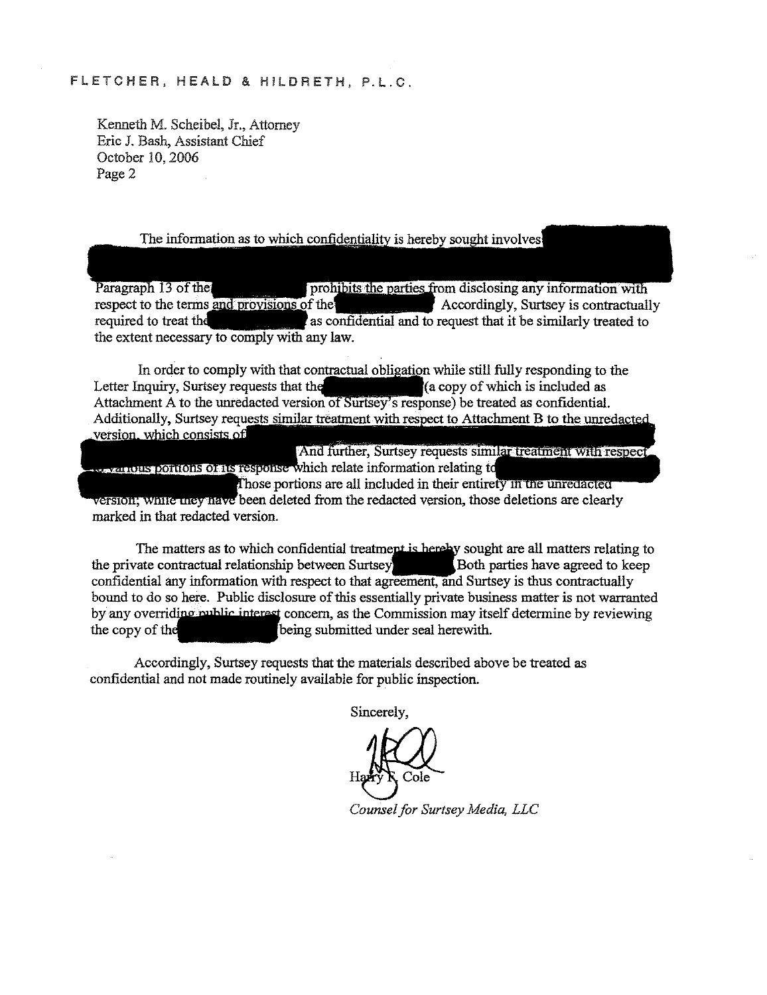#### FLETCHER, HEALD & HILDRETH, P.l.C.

Kenneth M. Scheibel, Jr., Attorney Eric J. Bash, Assistant Chief October 10, 2006 Page 2

#### The information as to which confidentiality is hereby sought involves

Paragraph 13 of the prohibits the parties from disclosing any information with respect to the terms and provisions of the Accordingly, Surtsey is contractually required to treat the as confidential and to request that it be similarly treated to the extent necessary to comply with any law.

In order to comply with that contractual obligation while still fully responding to the Letter Inquiry, Surtsey requests that the Attachment A to the unredacted version of Surtsey's response) be treated as confidential. Additionally, Surtsey requests similar treatment with respect to Attachment B to the unredacted version, which consists of copy of which is included as

And further, Surtsey requests similar treatment with respect **relations of the response which relate information relating to** 

Those portions are all included in their entirety in the unredacted version; while they have been deleted from the redacted version, those deletions are clearly marked in that redacted version.

The matters as to which confidential treatment is hereby sought are all matters relating to rate contractual relationship between Surtsey the private contractual relationship between Surtsey **EXEC SECONDED** Both parties have agreed to keep confidential any information with respect to that agreement, and Surtsey is thus contractually bound to do so here. Public disclosure of this essentially private business matter is not warranted by any overriding public interest concern, as the Commission may itself determine by reviewing the copy of the **being** submitted under seal herewith.

Accordingly, Surtsey requests that the materials described above be treated as confidential and not made routinely available for public inspection.

Sincerely,

*Counsel for Surtsey Media, LLC*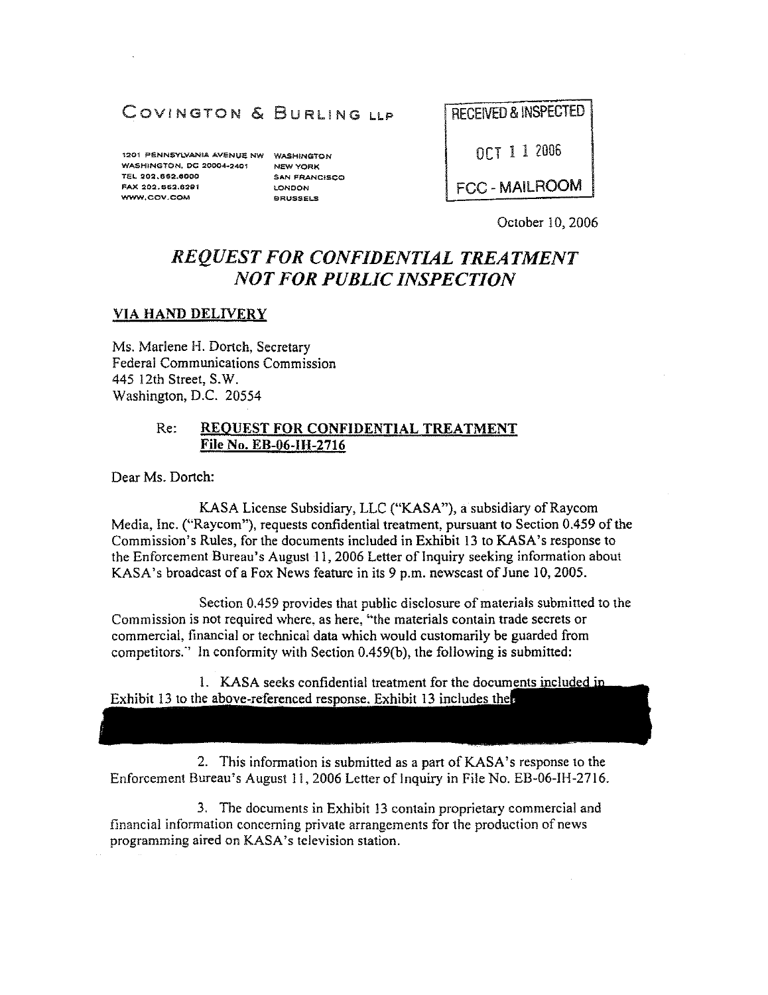## COVINGTON & BURLING LLP

1201 PENNSYLVANIA AVENUE NW WASHINGTON WASHINGTON. DC 20004~2401 TEL 202.e~2.eOOO FAX 202.662.6291 WWW.COV.COM

NEW YORK SAN FRANCISCO LONDON BRUSSELS

RECEIVED & INSPECTED

OCT 1 1 2006

FCC - MAILROOM

October 10, 2006

## *REQUEST FOR CONFIDENTIAL TREATMENT NOT FOR PUBLIC INSPECTION*

#### VIA HAND DELIVERY

Ms. Marlene H. Dortch, Secretary Federal Communications Commission 445 12th Street, S.W. Washington, D.C. 20554

#### Re: REQUEST FOR CONFIDENTIAL TREATMENT File No. EB-06-IH-2716

Dear Ms. Dortch:

KASA License Subsidiary, LLC ("KASA"), a subsidiary of Raycom Media, Inc. ("Raycom"), requests confidential treatment, pursuant to Section 0.459 of the Commission's Rules, for the documents included in Exhibit 13 to KASA's response to the Enforcement Bureau's August 11,2006 Letter of Inquiry seeking information about KASA's broadcast of a Fox News feature in its 9 p.m. newscast of June 10,2005.

Section 0.459 provides that public disclosure of materials submitted to the Commission is not required where, as here, "the materials contain trade secrets or commercial, financial or technical data which would customarily be guarded from competitors:' In conformity with Section 0.459(b), the following is submitted:

1. KASA seeks confidential treatment for the documents included in Exhibit 13 to the above-referenced response. Exhibit 13 includes the

2. This information is submitted as a part of KASA's response to the Enforcement Bureau's August 11, 2006 Letter of Inquiry in File No. EB-06-IH-2716.

3. The documents in Exhibit 13 contain proprietary commercial and financial information concerning private arrangements for the production of news programming aired on KASA's television station.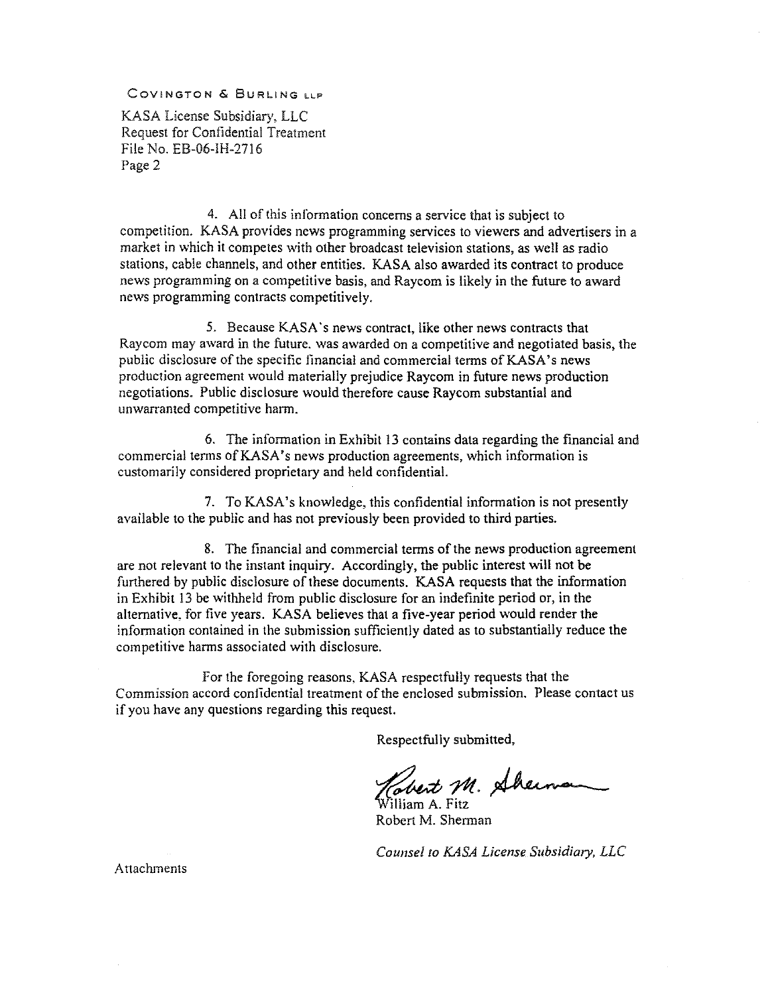COVINGTON & BURLING LLP

KASA License Subsidiary, LLC Request for Confidential Treatment File No. EB-06-IH-2716 Page 2

4. All of this information concerns a service that is subject to competition. KASA provides news programming services to viewers and advertisers in a market in which it competes with other broadcast television stations, as well as radio stations, cable channels, and other entities. KASA also awarded its contract to produce news programming on a competitive basis, and Raycom is likely in the future to award news programming contracts competitively.

5. Because KASA's news contract, like other news contracts that Raycom may award in the future. was awarded on a competitive and negotiated basis, the public disclosure of the specific financial and commercial terms of KASA's news production agreement would materially prejudice Raycom in future news production negotiations. Public disclosure would therefore cause Raycom substantial and unwarranted competitive harm.

6. The information in Exhibit 13 contains data regarding the financial and commercial terms ofKASA's news production agreements, which information is customarily considered proprietary and held confidential.

7. To KASA's knowledge. this confidential information is not presently available to the public and has not previously been provided to third parties.

8. The financial and commercial terms of the news production agreement are not relevant to the instant inquiry. Accordingly, the public interest will not be furthered by public disclosure of these documents. KASA requests that the information in Exhibit 13 be withheld from public disclosure for an indefinite period or, in the alternative. for five years. KASA believes that a five-year period would render the information contained in the submission sufficiently dated as to substantially reduce the competitive harms associated with disclosure.

For the foregoing reasons. KASA respectfully requests that the Commission accord conlldential treatment of the enclosed submission. Please contact us if you have any questions regarding this request.

Respectfully submitted,

Covert M. Sherman

Robert M. Sherman

*Counsel* 10 *KASA License SubSidiary, LLC* 

Attachments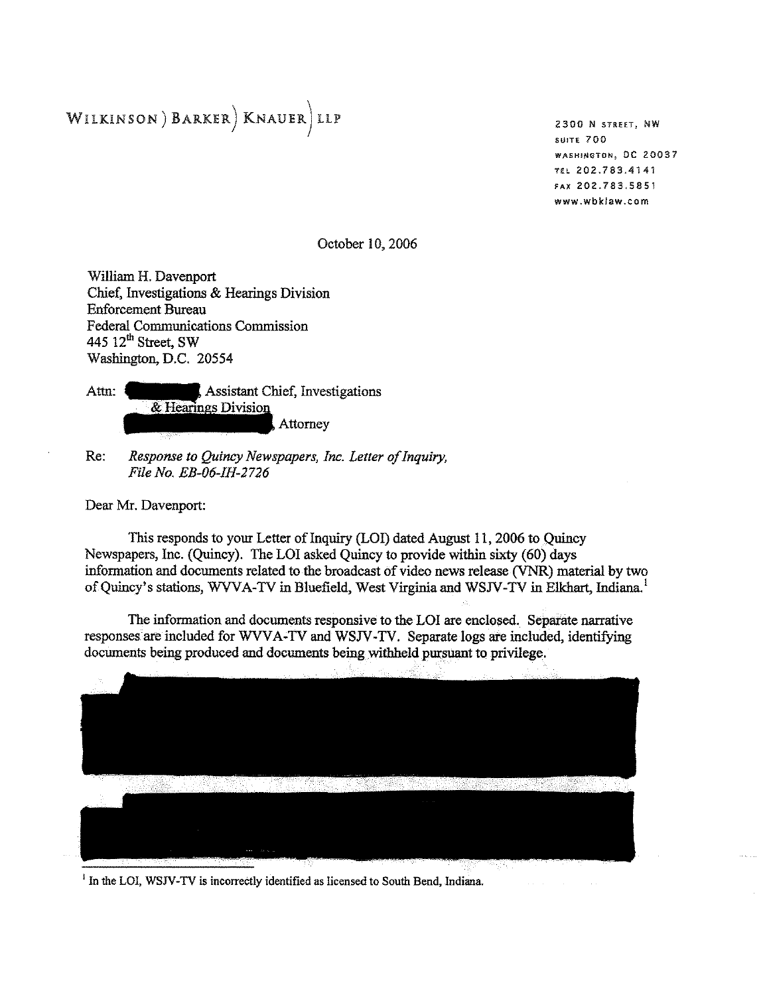## WILKINSON) BARKER) KNAUER LLP

**2300 N STREET, NW SUITE 700 WASHINGTON, DC 20037 TEL 202.183.4141 FAX 202.783,5851 www.wbklaw.com** 

October 10, 2006

William H. Davenport Chief, Investigations & Hearings Division Enforcement Bureau Federal Communications Commission 445 12<sup>th</sup> Street, SW Washington, D.C. 20554

Assistant Chief, Investigations Attn: & Hearings Division Attorney

Re: *Response to Quincy Newspapers, Inc. Letter of Inquiry, File No. EB-06-IH-2726* 

Dear Mr. Davenport:

This responds to your Letter of Inquiry (LOI) dated August 11, 2006 to Quincy Newspapers, Inc. (Quincy). The LOI asked Quincy to provide within sixty (60) days information and documents related to the broadcast of video news release (VNR) material by two of Quincy's stations, WVVA-TV in Bluefield, West Virginia and WSJV-TV in Elkhart, Indiana.<sup>1</sup>

The information and documents responsive to the LOI are enclosed. Separate narrative responses are included for WVVA-TV and WSJV-TV. Separate logs are included, identifying documents being produced and documents being withheld pursuant to privilege.



<sup>1</sup> In the LOI, WSJV-TV is incorrectly identified as licensed to South Bend, Indiana.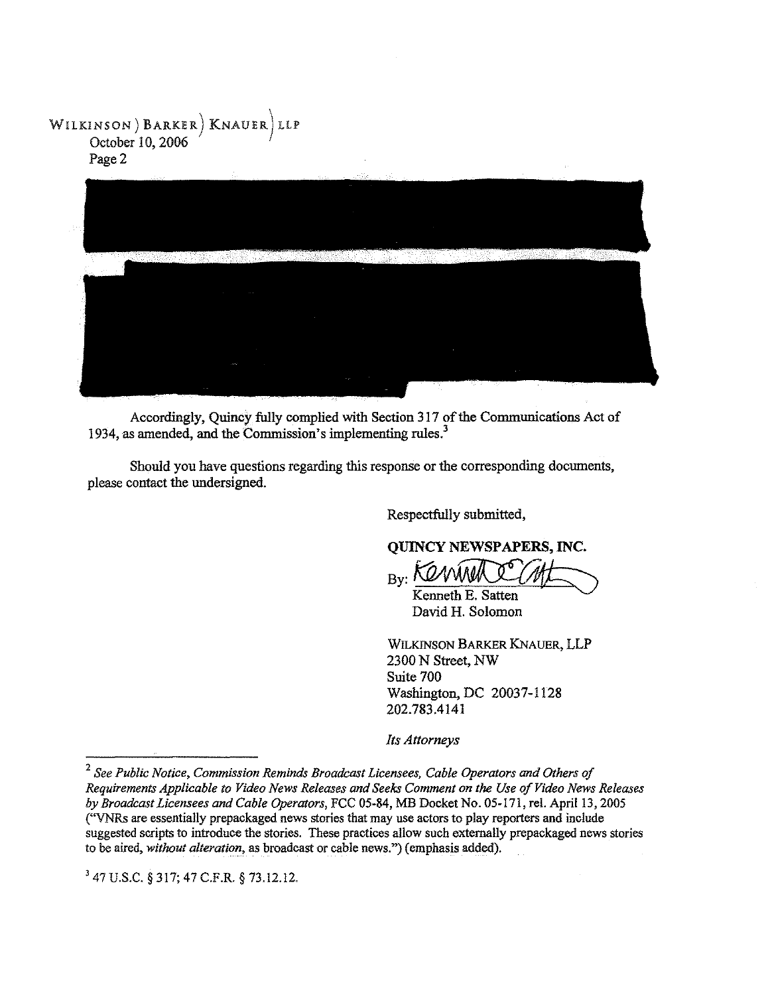### WILKINSON) BARKER) KNAUER) LLP October 10, 2006 Page 2



Accordingly, Quincy fully complied with Section 317 of the Communications Act of 1934, as amended, and the Commission's implementing rules.<sup>3</sup>

Should you have questions regarding this response or the corresponding documents, please contact the undersigned.

Respectfully submitted,

**QUINCY NEWSPAPERS, INC.** 

By: KONWULL

David H. Solomon

WILKINSON BARKER KNAUER, LLP 2300 N Street, NW Suite 700 Washington, DC 20037-1128 202.783.4141

*Its Attorneys* 

J 47 U.s.C. § 317; 47 C.F.R. § 73.12.12.

*<sup>2</sup> See Public Notice, Commission Reminds Broadcast Licensees, Cable Operators and Others of Requirements Applicable to Video News Releases and Seeks Comment on the Use of Video News Releases by Broadcast Licensees* and *Cable Operators,* FCC 05-84, MB Docket No. 05-17J, reI. April 13, 2005 ("VNRs are essentially prepackaged news stories that may use actors to play reporters and include suggested scripts to introduce the stories. These practices allow such externally prepackaged news stories to be aired, *without alteration,* as broadcast or cable news.") (emphasis added).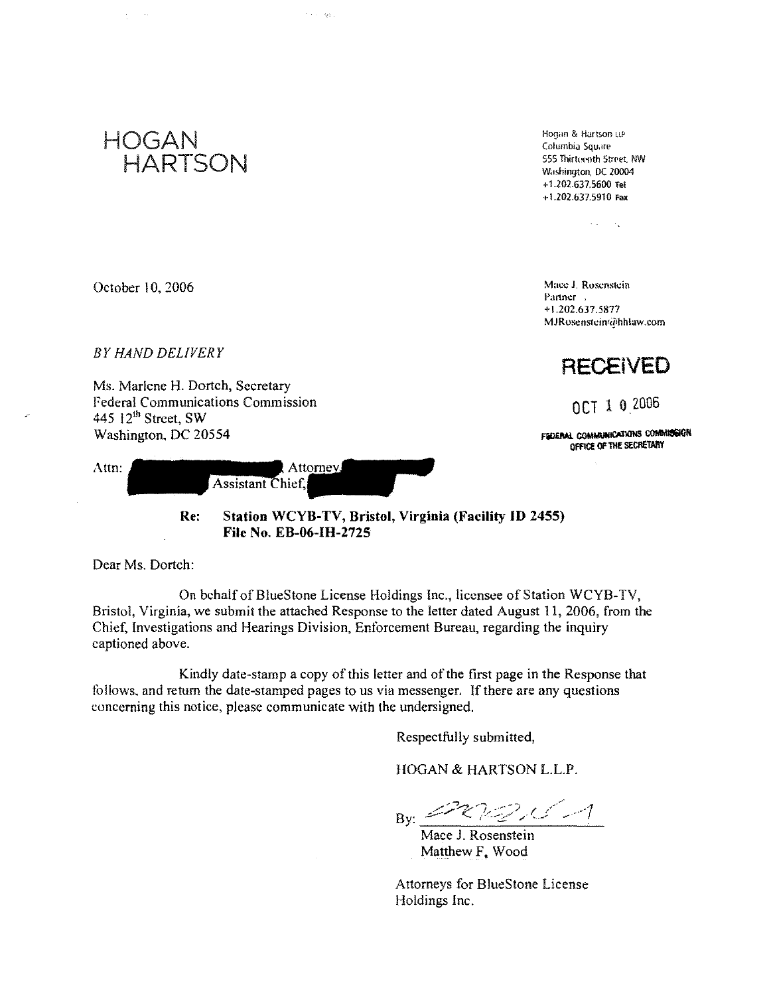

Hoqun & Hartson LLP Columbia Square 555 Thirteenth Street, NW Washington, DC 20004  $+1.202.637.5600$  Tel + l.202.637.5910 Fax

 $\Delta\Delta\sim 10^{11}$ 

Mace J. Rosenstein Partner , +\.202.637.5877 MJRosenstcin(a)hhlaw.com

**RECEIVED** 

OCT 1 0.2006

FEDERAL COMMUNICATIONS COMMISSION OFFICE OF THE SECRETARY

October 10, 2006

*BY HAND DELIVERY* 

Ms. Marlene H. Dortch, Secretary Federal Communications Commission 445 12<sup>th</sup> Street, SW Washington, DC 20554

| <b>Assistant Chief.</b> | Attn: |  | Attorney |  |
|-------------------------|-------|--|----------|--|
|-------------------------|-------|--|----------|--|

in a longer

Re: Station WCYB-TV, Bristol, Virginia (Facility ID 2455) File No. EB-06-IH-2725

Dear Ms. Dortch:

On behalf of BlueStone License Holdings Inc., licensee of Station WCYB-TV, Bristol, Virginia, we submit the attached Response to the letter dated August 11, 2006, from the Chief, Investigations and Hearings Division, Enforcement Bureau, regarding the inquiry captioned above.

Kindly date-stamp a copy of this letter and of the first page in the Response that follows. and return the date-stamped pages to us via messenger. If there are any questions concerning this notice, please communicate with the undersigned,

Respectfully submitted,

HOGAN & HARTSON L.L.P,

 $222.216$ <sup>B</sup>y: -->-/ <:. ,-.,/', \_ ........;;: -' ,.J' . *f..* ~....... ..... '----.

Mace J. Rosenstein Matthew F. Wood

A ttorneys for BlueStone License Holdings Inc,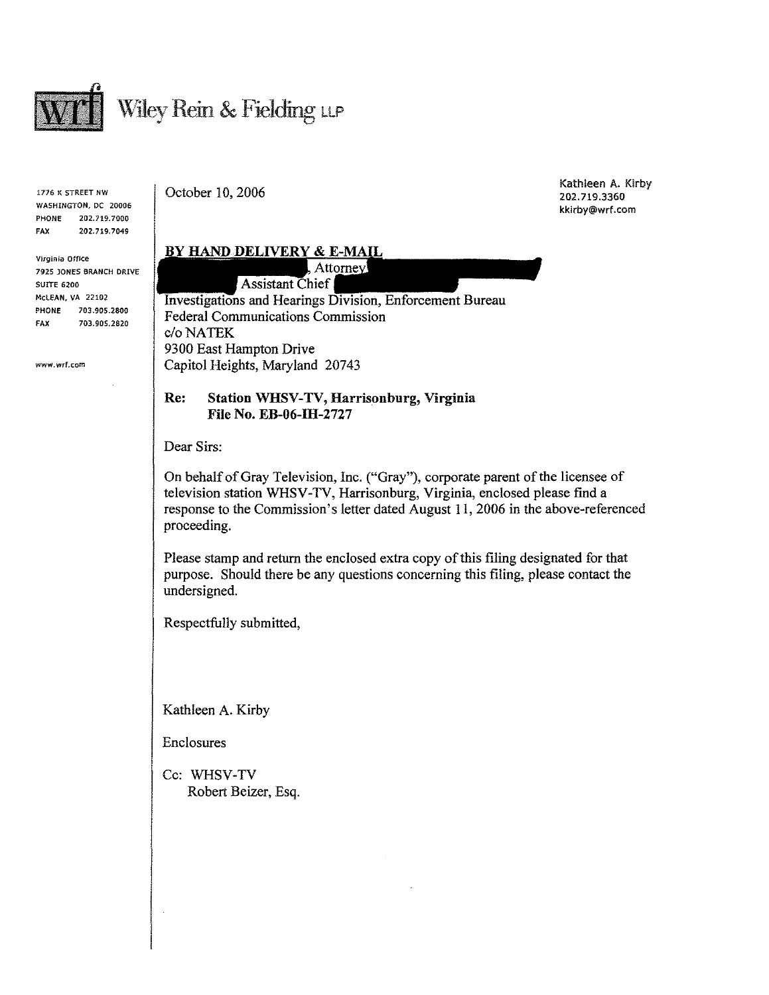

1776 K STREET NW WASHINGTON, DC 20006 PHONE 202.719.7000 FAX 202.719.7049

Virginia Office 7925 JONES BRANCH DRIVE SUITE 6200 McLEAN, VA 22102 PHONE 703.905.2800 FAX 703.905.2820

www.wrf.com

October 10, 2006

Kathleen A. Kirby 202.719.3360 kkirby@wrf.com

#### BY HAND DELIVERY & E-MAIL , Attorney!

**Assistant Chief** 

Investigations and Hearings Division, Enforcement Bureau Federal Communications Commission c/oNATEK 9300 East Hampton Drive Capitol Heights, Maryland 20743

Re: Station WHSV-TV, Harrisonburg, Virginia File No. EB-06-IH-2727

Dear Sirs:

On behalf of Gray Television, Inc. ("Gray"), corporate parent of the licensee of television station WHSV -TV, Harrisonburg, Virginia, enclosed please find a response to the Commission's letter dated August 11, 2006 in the above-referenced proceeding.

Please stamp and return the enclosed extra copy of this filing designated for that purpose. Should there be any questions concerning this filing, please contact the undersigned.

Respectfully submitted,

Kathleen A. Kirby

Enclosures

Cc: WHSV-TV Robert Beizer, Esq.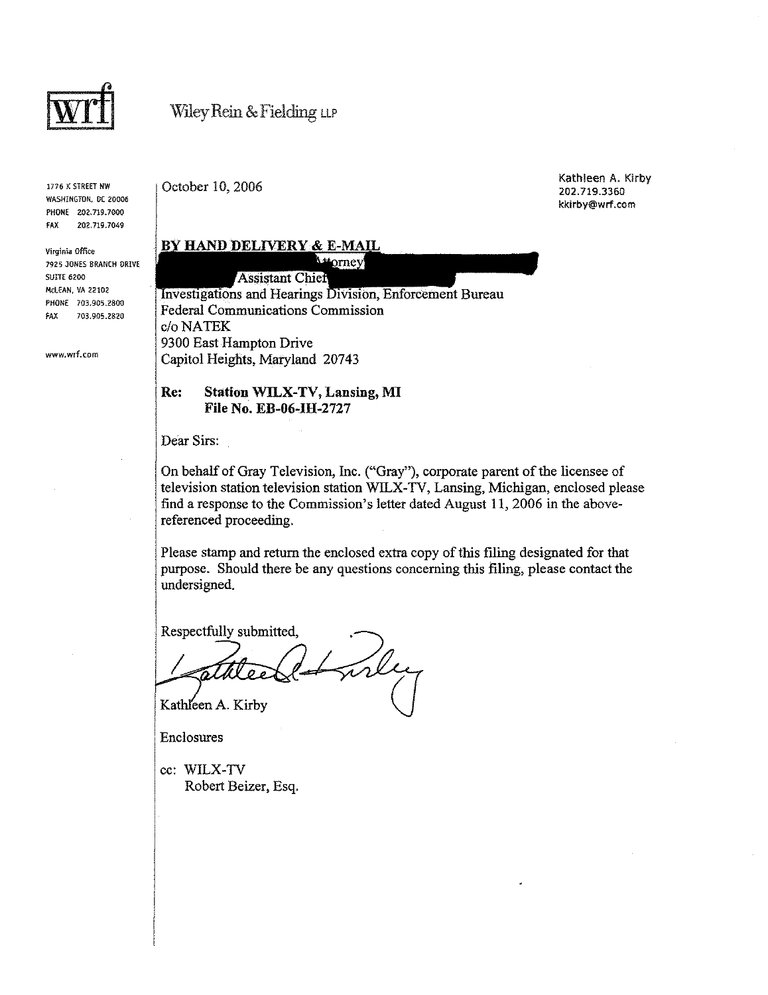

1776 K STREET NW WASHINGTON, DC 20006 PHONE 202,719.7000 FAX 202,719,7049

Virginia Office 7925 JONES BRANCH DRIVE SUITE 6200 McLEAN, VA 22102 PHONE 703,905.2800 FAX 703.905.2820

www.wrf.com

October 10, 2006

Kathleen A. Kirby 202.719.3360 kkirby@wrf.com

### **BY HAND DELIVERY & E-MAIL**

 $\lambda$   $\neq$  orney **Assistant Chief** Investigations and Hearings Division, Enforcement Bureau Federal Communications Commission c/oNATEK 9300 East Hampton Drive Capitol Heights, Maryland 20743

#### Re: Station WILX-TV, Lansing, MI File No. EB-06-IH-2727

Dear Sirs:

On behalf of Gray Television, Inc. ("Gray"), corporate parent of the licensee of television station television station WILX-TV, Lansing, Michigan, enclosed please find a response to the Commission's letter dated Augnst 11,2006 in the abovereferenced proceeding.

Please stamp and return the enclosed extra copy of this filing designated for that purpose. Should there be any questions concerning this filing, please contact the undersigned.

Respectfully submitted,

rle Kathleen A. Kirby

Enclosures

cc: WILX-TV Robert Beizer, Esq.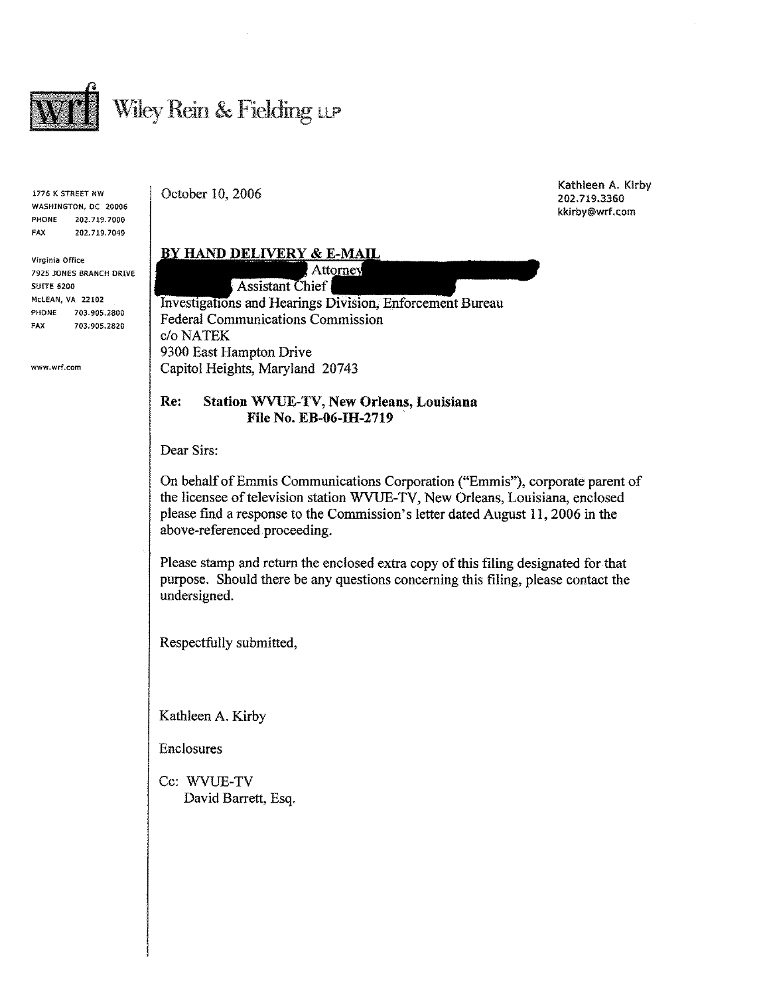

1776 K STREET NW WASHINGTON, DC 20006 PHONE 202.719.7000 FAX 202.719.7049

Vlrginia Office 7925 JONES BRANCH DRIVE SUITE 6200 McLEAN, VA 22102 PHONE 703.905.2800 FAX 703.905.2820

www.wrf.com

October 10, 2006

Kathleen A. Kirby 202.719.3360 kkirby@wrf.com

#### **BY HAND DELIVERY & E-MAIL** Attorney **Assistant Chief**

Investigations and Hearings Division, Enforcement Bureau Federal Communications Commission c/oNATEK 9300 East Hampton Drive Capitol Heights, Maryland 20743

### Re: Station WVVE-TV, New Orleans, Lonisiana File No. EB-06-IH-2719

Dear Sirs:

On behalf of Emmis Communications Corporation ("Emmis"), corporate parent of the licensee of television station WVUE-TV, New Orleans, Louisiana, enclosed please find a response to the Commission's letter dated August 11, 2006 in the above-referenced proceeding.

Please stamp and return the enclosed extra copy of this filing designated for that purpose. Should there be any questions concerning this filing, please contact the undersigned.

Respectfully submitted,

Kathleen A. Kirby

Enclosures

Cc: WVUE-TV David Barrett, Esq.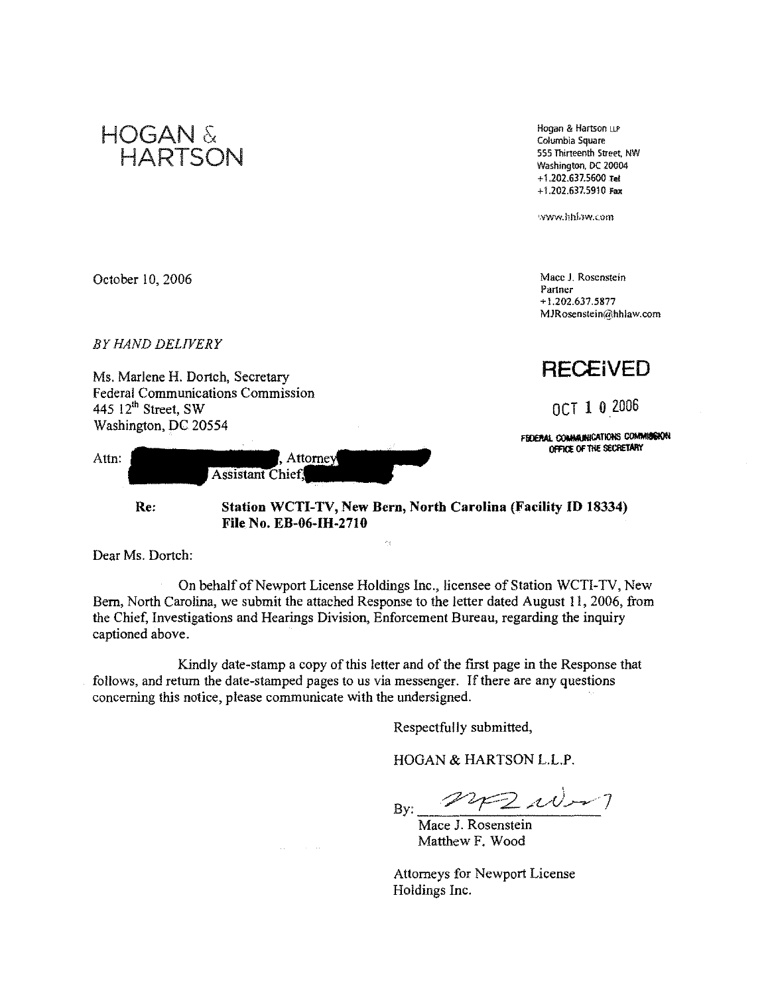

Dear Ms, Dortch:

On behalf of Newport License Holdings Inc., licensee of Station WCTI-TV, New Bern, North Carolina, we submit the attached Response to the letter dated August 11, 2006, from the Chief, Investigations and Hearings Division, Enforcement Bureau, regarding the inquiry captioned above.

Kindly date-stamp a copy of this letter and of the first page in the Response that follows, and return the date-stamped pages to us via messenger. If there are any questions concerning this notice, please communicate with the undersigned.

Respectfully submitted,

HOGAN & HARTSON L.L.P,

 $\mathcal{F} \mathcal{Z}$  where By:

Mace J. Rosenstein Matthew F. Wood

Attorneys for Newport License Holdings Inc.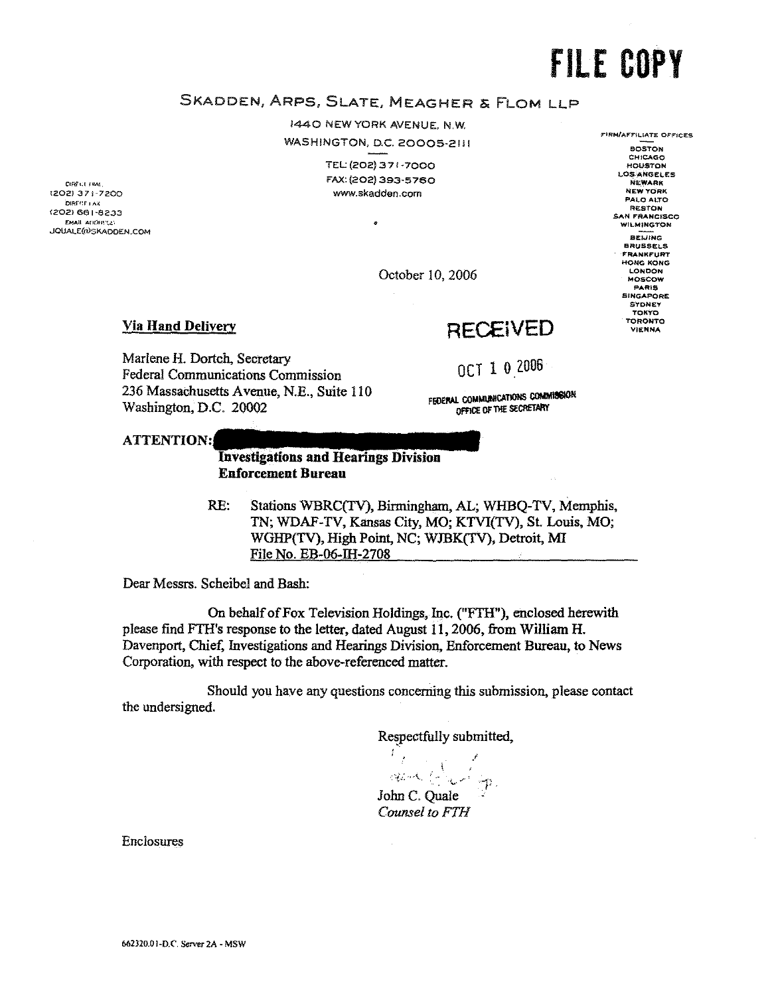**FIRM/AFFILIATE OFFICES** 

**BOSTON** CHICAGO

HOUSTON LOS ANGELES

**NEW YORK** 

PALO ALTO

**RESTON** 

SAN FRANCISCO

BEIJING **BRUSSELS** HONG KONG **LONDON** 

MOSCOW PARIS SINGAPORE SYDNEY<br>TOKYO TORONTO

**VIENNA** 

## SKADDEN, ARPS, SLATE, MEAGHER & FLOM LLP

1440 NEW YORK AVENUE, N.W. WASHINGTON, D.C. 20005-2111

> TEL: (202) 371-7000 FAX: (202) 393-5760 www.skadden.com

DIRECT PIAL (202) 371-7200 DIRECT LAW (202) 661-8233 FMAIL STREET AT JOUALE(a)SKADDEN.COM

October 10, 2006

#### **Via Hand Delivery**

## **RECEIVED**

Marlene H. Dortch, Secretary **Federal Communications Commission** 236 Massachusetts Avenue, N.E., Suite 110 Washington, D.C. 20002

OCT 1 0 2006

FEDERAL COMMUNICATIONS COMMISSION OFFICE OF THE SECRETARY

**ATTENTION:** 

#### **Investigations and Hearings Division Enforcement Bureau**

 $RE:$ Stations WBRC(TV), Birmingham, AL; WHBQ-TV, Memphis, TN; WDAF-TV, Kansas City, MO; KTVI(TV), St. Louis, MO; WGHP(TV), High Point, NC; WJBK(TV), Detroit, MI File No. EB-06-IH-2708

Dear Messrs. Scheibel and Bash:

On behalf of Fox Television Holdings, Inc. ("FTH"), enclosed herewith please find FTH's response to the letter, dated August 11, 2006, from William H. Davenport, Chief, Investigations and Hearings Division, Enforcement Bureau, to News Corporation, with respect to the above-referenced matter.

Should you have any questions concerning this submission, please contact the undersigned.

 $\sim$ 

Respectfully submitted,

f 2012-00-11

John C. Ouale Counsel to FTH

**Enclosures**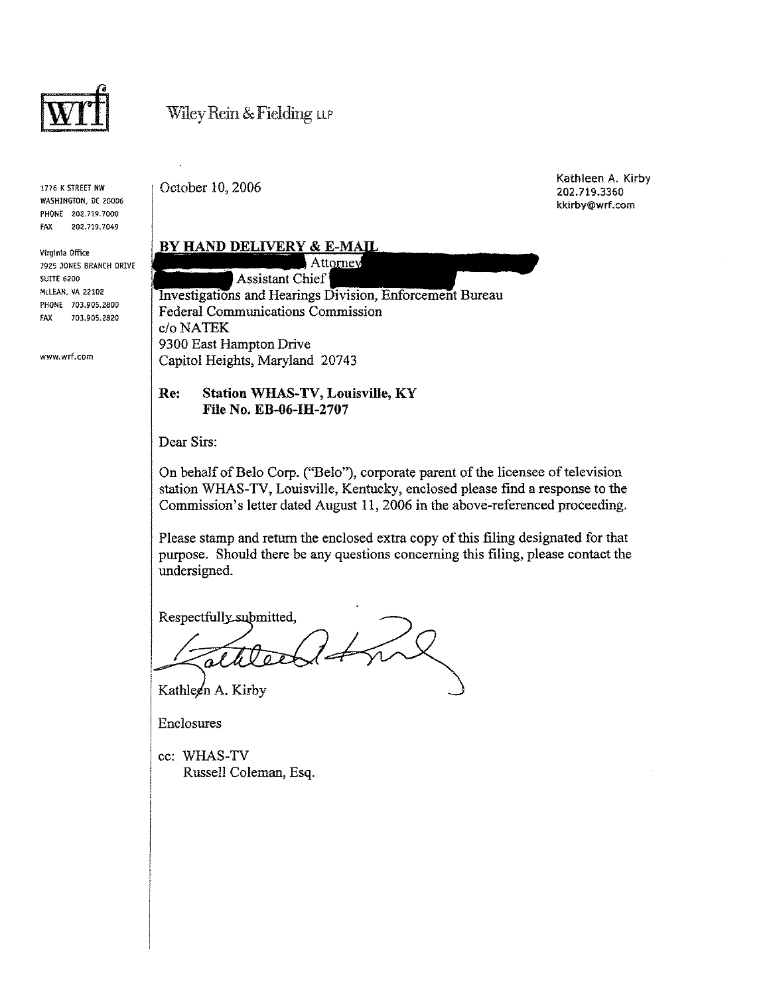

1776 K STREET NW WASHINGTON, OC 20006 PHONE 202.719.7000 FAX 202.719.7049

Virginia Office 7925 JONES BRANCH DRIVE SUITE 6200 McLEAN, VA 22102 PHONE 703.905.2800 FAX 703.905.2820

www.wrf.com

October 10, 2006

Kathleen A. Kirby 202.719.3360 kkirby@wrf.com

#### **BY HAND DELIVERY & E-MAIL**

Attorney Assistant Chief Investigations and Hearings Division, Enforcement Bureau Federal Communications Commission *c/oNATEK*  9300 East Hampton Drive Capitol Heights, Maryland 20743

#### Re: Station WHAS-TV, Louisville, KY File No. EB-06-IH-2707

Dear Sirs:

On behalf of Belo Corp. ("Belo"), corporate parent of the licensee of television station WHAS-TV, Louisville, Kentucky, enclosed please find a response to the Commission's letter dated August 11,2006 in the above-referenced proceeding.

Please stamp and return the enclosed extra copy of this filing designated for that purpose. Should there be any questions concerning this filing, please contact the undersigned.

Respectfully\_submitted,

Kathleen A. Kirby

Enclosures

cc: WHAS-TV Russell Coleman, Esq.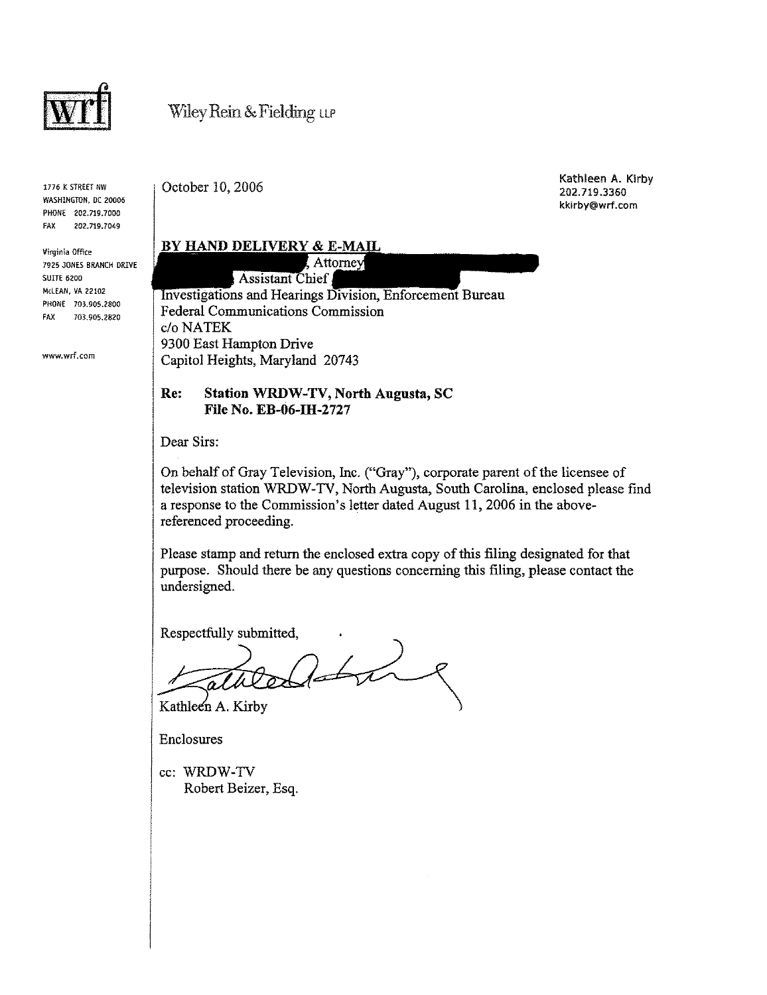

1776 K STREET NW WASHINGTON, DC 20006 PHONE 202.719.7000 FAX 202.719.7049

Virginia Office 7925 JONES BRANCH DRIVE SUITE 6200 McLEAN, VA 22102 PHONE 703.905.2800 FAX 703.905.2820

www.wrf.com

October 10, 2006

Kathleen A. Kirby 202.719.3360 kkirby@wrf.com

#### BY HAND DELIVERY & E-MAIL

Attorney **Assistant Chief** Investigations and Hearings Division, Enforcement Bureau Federal Communications Commission c/oNATEK 9300 East Hampton Drive Capitol Heights, Maryland 20743

#### Re: Station WRDW-TV, North Augusta, SC File No. EB-06-IH-2727

Dear Sirs:

On behalf of Gray Television, Inc. ("Gray"), corporate parent of the licensee of television station WRDW -TV, North Augusta, South Carolina, enclosed please find a response to the Commission's letter dated August 11,2006 in the abovereferenced proceeding.

Please stamp and return the enclosed extra copy of this filing designated for that purpose. Should there be any questions concerning this filing, please contact the undersigned.

Respectfully submitted,

 $260$ Kathleen A. Kirby

Enclosures

cc: WRDW-TV Robert Beizer, Esq.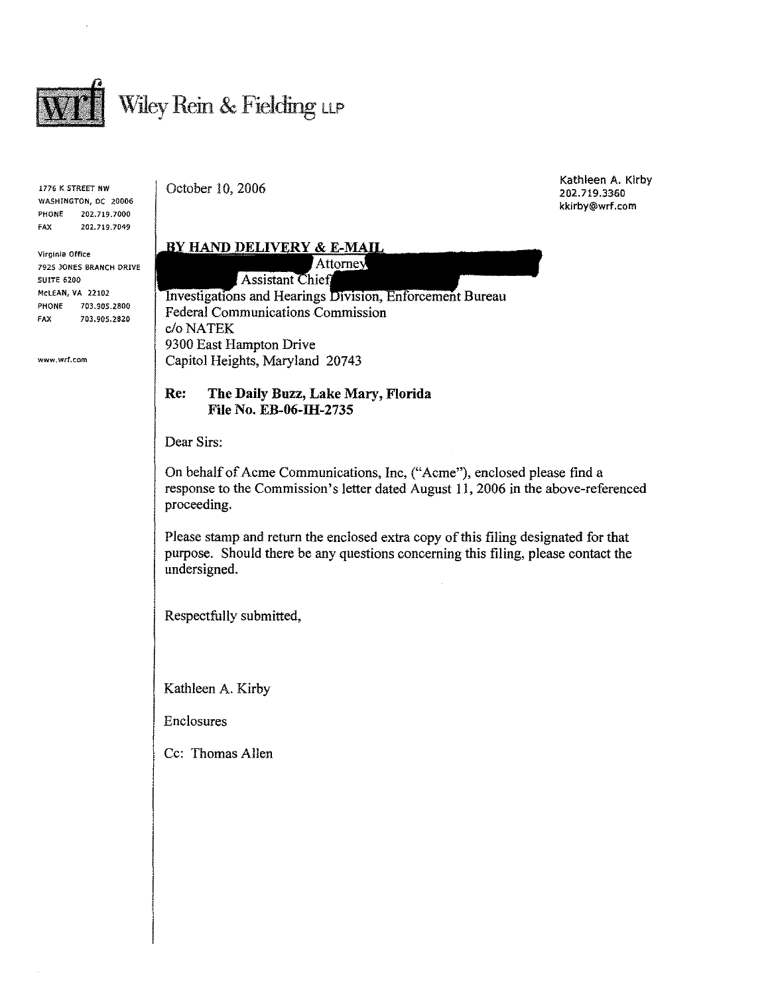

1776 K STREET NW WASHINGTON, DC 20006 PHONE 202.719.7000 FAX 202.719.7049

Virginia Office 7925 JONES BRANCH DRIVE SUITE 6200 McLEAN, **VA** 22102 **PHONE** 703.905.2800 FAX 703.905.2820

www.wrf.com

October 10, 2006

### **BY HAND DELIVERY & E-MAIL**

Attorney Assistant Chief Investigations and Hearings Division, Enforcement Bureau Federal Communications Commission c/oNATEK 9300 East Hampton Drive Capitol Heights, Maryland 20743

#### Re: The Daily Buzz, Lake Mary, Florida File No. EB-06-IH-2735

Dear Sirs:

On behalf of Acme Communications, Inc, ("Acme"), enclosed please find a response to the Commission's letter dated August 11,2006 in the above-referenced proceeding.

Please stamp and return the enclosed extra copy of this filing designated for that purpose. Should there be any questions concerning this filing, please contact the undersigned.

Respectfully submitted,

Kathleen A. Kirby

Enclosures

Cc: Thomas Allen

Kathleen A. Kirby 202.719.3360 **kkirby@wrf,com**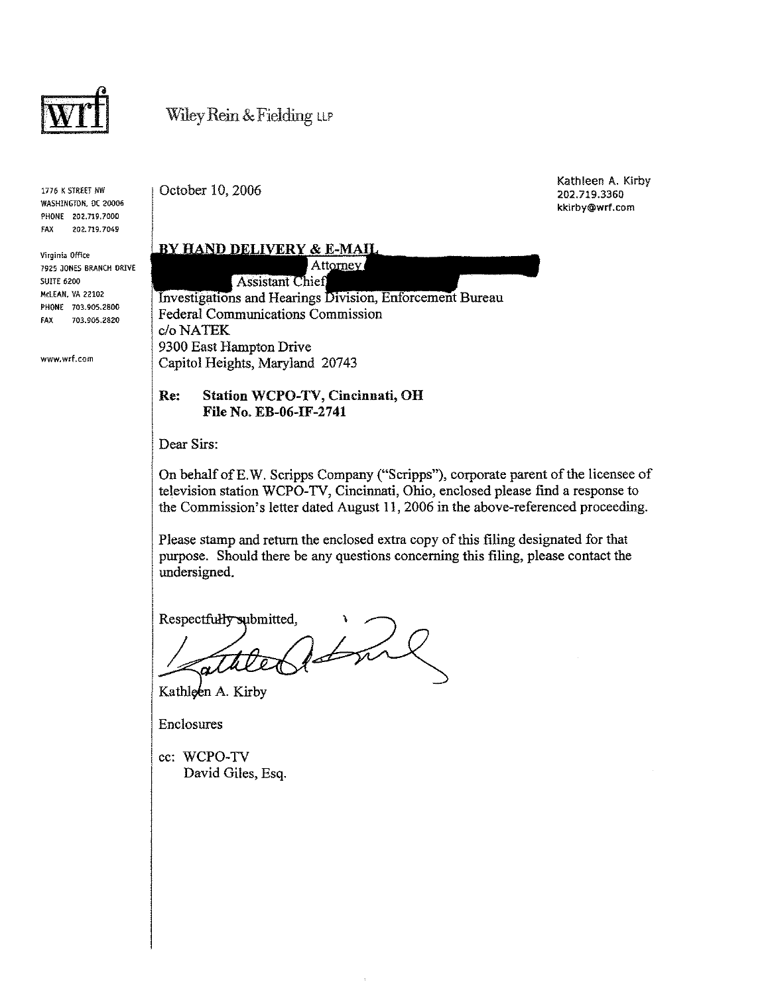

1776 K STREET NW WASHINGTON. OC 20006 PHONE 202.719.7000 FAX 202.719.7049

Virginia Office 7925 JONES BRANCH DRIVE SUITE 6200 McLEAN. VA 22102 PHONE 703.905.2800 FAX 703.905.2820

www.wrf.com

October 10, 2006

Kathleen A. Kirby 202.719.3360 kkirby@wrf.com

**BY HAND DELIVERY & E-MAIL** 

Attorney **Assistant Chief** 

Investigations and Hearings Division, Enforcement Bureau Federal Communications Commission *c/oNATEK*  9300 East Hampton Drive Capitol Heights, Maryland 20743

#### Re: Station WCPO-TV, Cincinnati, OH File No. EB-06-IF-2741

Dear Sirs:

On behalf ofE.W. Scripps Company ("Scripps"), corporate parent of the licensee of television station WCPO-TV, Cincinnati, Ohio, enclosed please find a response to the Commission's letter dated August 11, 2006 in the above-referenced proceeding.

Please stamp and return the enclosed extra copy of this filing designated for that purpose. Shonld there be any questions concerning this filing, please contact the undersigned.

Respectfully submitted,

the

Kathleen A. Kirby

Enclosures

cc: WCPO-TV David Giles, Esq.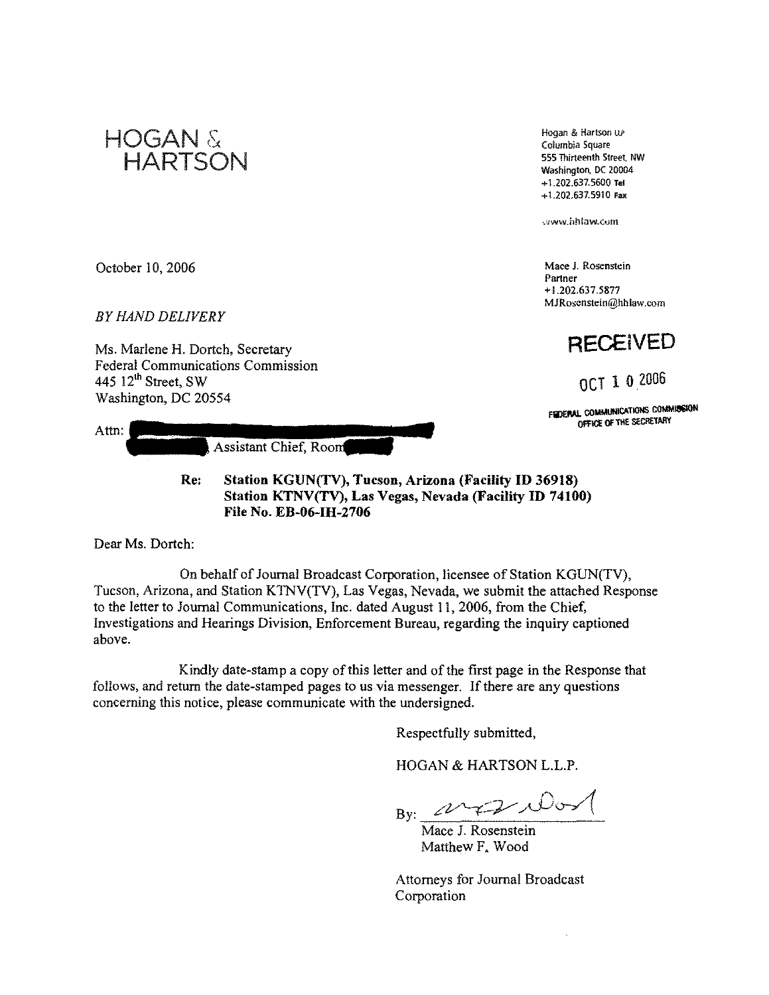

**Hogan & Hartson** UP **Columbia Square 555 Thirteenth Street, NW**  Washington. DC 20004 + 1.202.637.5600 Tel +1.202.637.5910 Fax

**.:Jww.hhlaw.com** 

**Mace J. Rosenstein Partner**  + 1.202.637.5877 **MJRoscnstein@hhlaw.com** 

**RECEiVED** 

OCT 1 0 2006

FIZERAL COMMUNICATIONS COMMISSION THE SECRETARY

October 10, 2006

*BY HAND DELIVERY* 

Ms. Marlene H. Dortch, Secretary Federal Communications Commission 445  $12<sup>th</sup>$  Street, SW Washington, DC 20554

| Attn. |     |                                                                                                                | <b>FEILING COMMUNIST</b><br>OFFICE OF |
|-------|-----|----------------------------------------------------------------------------------------------------------------|---------------------------------------|
|       |     | Assistant Chief, Room                                                                                          |                                       |
|       | Re: | Station KGUN(TV), Tucson, Arizona (Facility ID 36918)<br>Station KTNV(TV) Las Vegas Nevada (Racility ID 74100) |                                       |

**Station KTNV(TV), Las Vegas, Nevada (Facility ID 74100) File** No. **EB-06-IH-2706** 

Dear Ms. Dortch:

On behalf of Journal Broadcast Corporation, licensee of Station KGUN(TV), Tucson, Arizona, and Station KTNV(TV), Las Vegas, Nevada, we submit the attached Response to the letter to Journal Communications, Inc. dated August II, 2006, from the Chief, Investigations and Hearings Division, Enforcement Bureau, regarding the inquiry captioned above.

Kindly date-stamp a copy of this letter and of the first page in the Response that follows, and return the date-stamped pages to us via messenger. If there are any questions concerning this notice, please communicate with the undersigned.

Respectfully submitted,

HOGAN & HARTSON L.L.P.

By:  $\overbrace{ }_{\text{Mace J. Rosenstein}}^{\text{D}}$ 

Matthew F. Wood

Attorneys for Journal Broadcast Corporation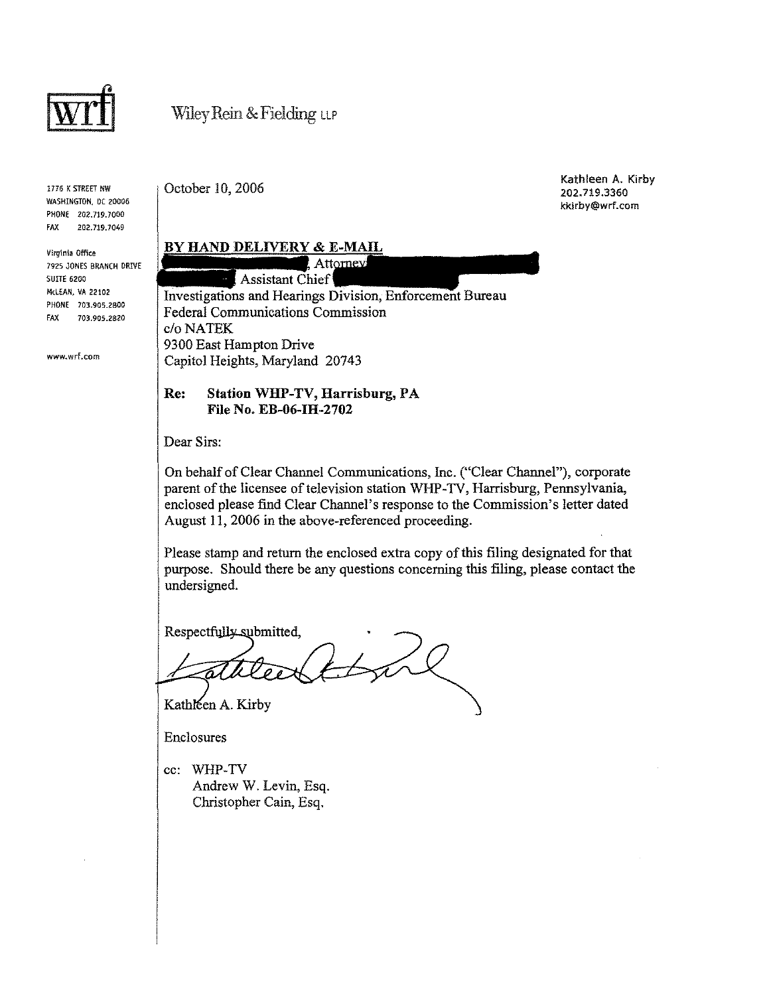

1776 K STREET HW WASHINGTON, DC 20006 PHONE 202.719.7000 FAX 2Q2.719.70-49

Virginia Office 7925 JONES BRANCH DRIVE SUITE 6200 McLEAN, VA 22102 PHONE 703,905.2800 FAX 703.905.2820

www.wrf.com

October 10, 2006

Kathleen A. Kirby 202.719.3360 kkirby@wrf.com

#### BY HAND DELIVERY & E-MAIL

Attorney Assistant Chief Investigations and Hearings Division, Enforcement Bureau Federal Communications Commission c/oNATEK 9300 East Hampton Drive Capitol Heights, Maryland 20743

#### Re: Station WHP-TV, Harrisburg, PA File No. EB-06-IH-2702

Dear Sirs:

On behalf of Clear Channel Communications, Inc. ("Clear Channel"), corporate parent of the licensee of television station WHP-TV, Harrisburg, Pennsylvania, enclosed please find Clear Channel's response to the Commission's letter dated August 11, 2006 in the above-referenced proceeding.

Please stamp and return the enclosed extra copy of this filing designated for that purpose. Should there be any questions concerning this filing, please contact the undersigned.

Respectfully submitted,

 $\measuredangle$ 

Kathleen A. Kirby

Enclosures

cc: WHP-TV Andrew W. Levin, Esq. Christopher Cain, Esq.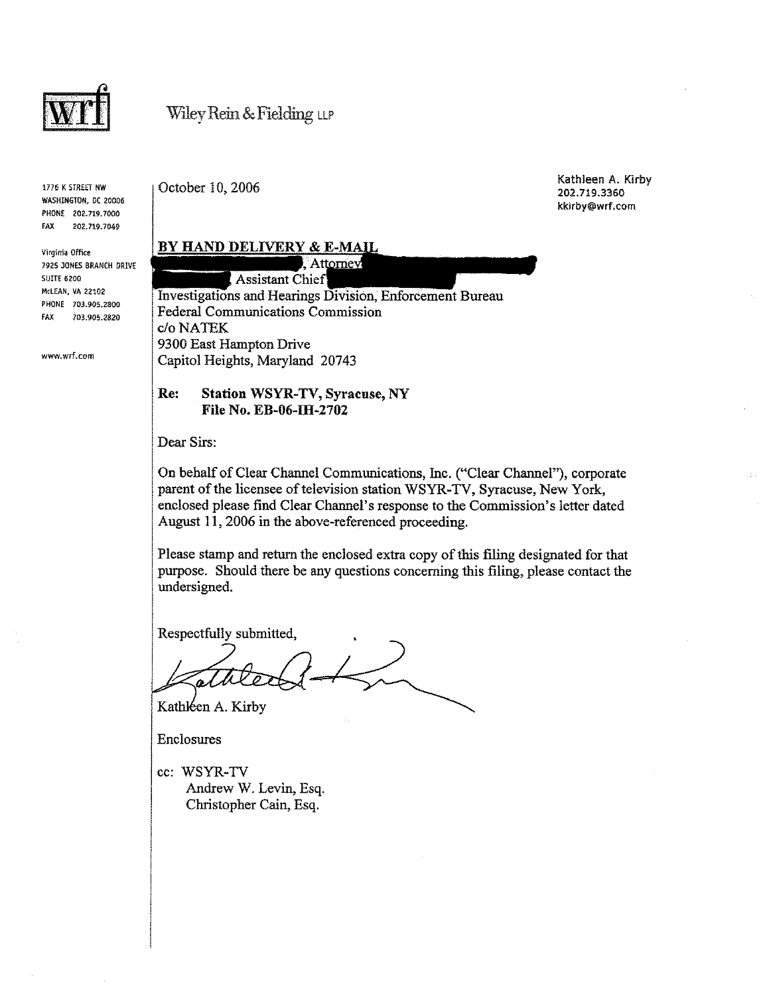

1776 K STREET NW WASHINGTON, DC 20006 PHONE 202.719.7000 FAX 202.719.7049

Virginia Office 7925 JONES BRANCH DRIVE SUITE 6200 McLEAN, VA 22102 PHONE 703.905.2800 FAX 703.905.2820

www.wrf.com

October 10, 2006

Kathleen A. Kirby 202.719.3360 kkirby@wrf.com

#### BY HAND DELIVERY & E-MAIL

. Attorney Assistant Chief Investigations and Hearings Division, Enforcement Bureau Federal Communications Commission c/oNATEK 9300 East Hampton Drive Capitol Heights, Maryland 20743

#### Re: Station WSYR-TV, Syracuse, NY File No. EB-06-IH-2702

Dear Sirs:

On behalf of Clear Channel Communications, Inc. ("Clear Channel"), corporate parent of the licensee of television station WSYR-TV, Syracuse, New York, enclosed please fmd Clear Channel's response to the Commission's letter dated August 11, 2006 in the above-referenced proceeding.

Please stamp and return the enclosed extra copy of this filing designated for that purpose. Should there be any questions concerning this filing, please contact the undersigned.

Respectfully submitted,

Kathleen A. Kirby

Enclosures

cc: WSYR-TV Andrew W. Levin, Esq. Christopher Cain, Esq.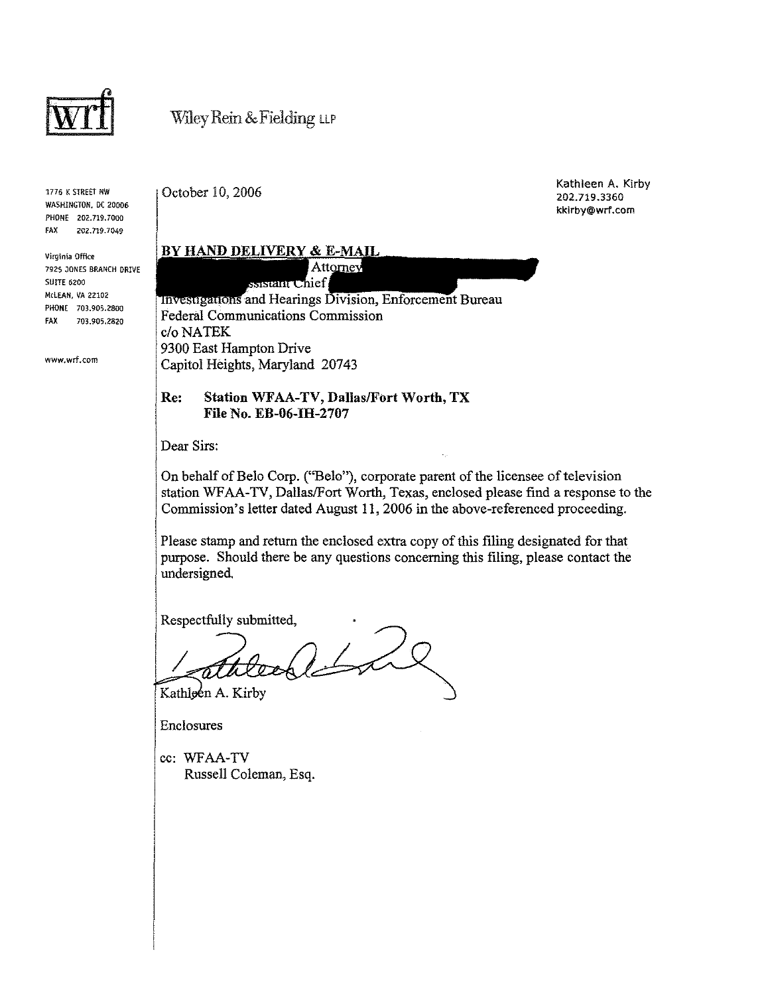

1776 K STREET NW WASHINGTON, DC 20006 PHONE 202.719.7000 fAX 202.719.7049

Virginia Office 7925 JONES BRANCH DRIVE SUITE 6200 McLEAN, VA 22102 PHONE 703.905.2800 FAX 703.905.2820

www.wrf.com

October 10, 2006

I

Kathleen A. Kirby 202.719.3360 kkirby@wrf.com

#### BY HAND DELIVERY & E-MAIL Attorney ssistant Chief

**Investigations and Hearings Division, Enforcement Bureau** Federal Communications Commission c/o NATEK 9300 East Hampton Drive Capitol Heights, Maryland 20743

#### Re: Station WFAA-TV, Dallas/Fort Worth, TX File No. EB-06-IH-2707

Dear Sirs:

On behalf of Belo Corp. ("Belo"), corporate parent of the licensee of television station WFAA-TV, Dallas/Fort Worth, Texas, enclosed please find a response to the Commission's letter dated August 11,2006 in the above-referenced proceeding.

Please stamp and return the enclosed extra copy of this filing designated for that purpose. Should there be any questions concerning this filing, please contact the undersigned.

Respectfully submitted,

 $21$ 

Kathloen A. Kirby

Enclosures

cc: WFAA-TV Russell Coleman, Esq.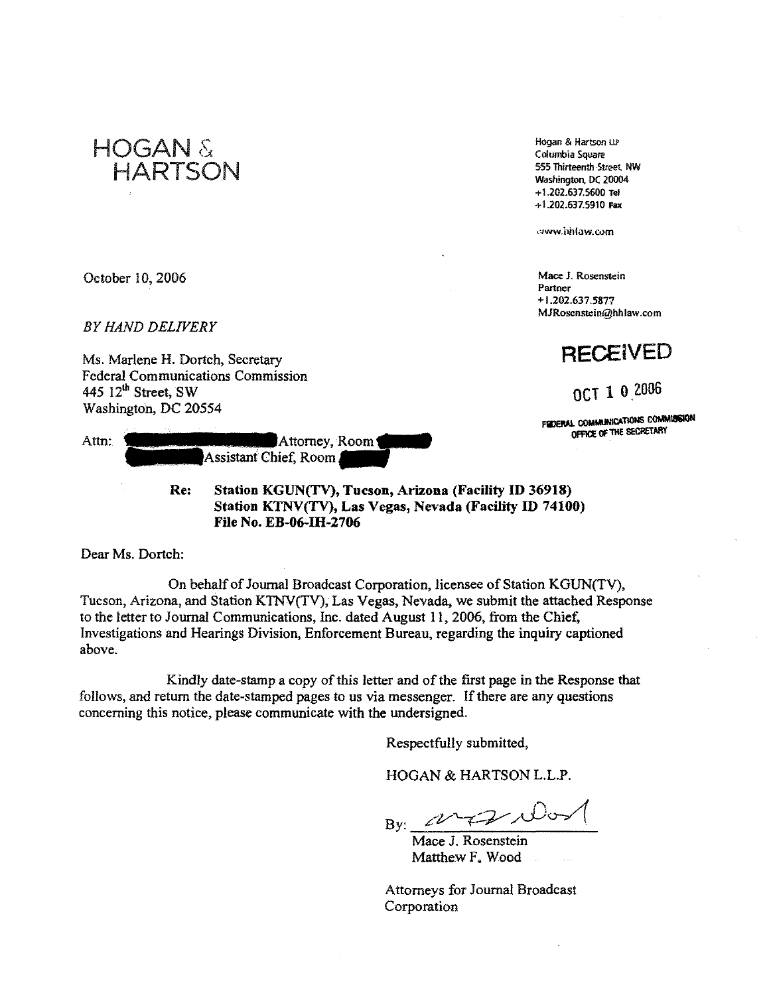

Hogan & Hartson ill Columbia Square 555 Thirteenth Street NW Washington. DC 20004 +1.202.637.5600 Tel + 1.202.637.5910 Fax

c"lww.hhlaw.cvm

**Mace J. Rosenstein Partner**  + 1.202.6375877 **MJRoscnstein@hhlaw,com** 

## **RECEiVED**

OCT 1 0 2006

FROERAL COMMUNICATIONS COMMISSION OFFICE OF THE SECRETARY

October 10, 2006

*BY HAND DELIVERY* 

Ms. Marlene H. Dortch, Secretary Federal Communications Commission 445 12<sup>th</sup> Street, SW Washington, DC 20554

| Attn: | Attorney, Room        |
|-------|-----------------------|
|       | Assistant Chief, Room |

Re: Station KGUN(TV), Tucson, Arizona (Facility **ID** 36918) Station KTNV(TV), Las Vegas, Nevada (Facility ID 74100) **File** No. EB-06-IH-2706

Dear Ms. Dortch:

On behalf of Journal Broadcast Corporation, licensee of Station KGUN(TV), Tucson, Arizona, and Station K1NV(TV), Las Vegas, Nevada, we submit the attached Response to the letter to Journal Communications, Inc. dated August II, 2006, from the Chief, Investigations and Hearings Division, Enforcement Bureau, regarding the inquiry captioned above.

Kindly date-stamp a copy of this letter and of the first page in the Response that follows, and return the date-stamped pages to us via messenger. If there are any questions concerning this notice, please communicate with the undersigned.

Respectfully submitted,

HOGAN & HARTSON L.L.P.

 $2\sqrt{7}$ By:

Mace J. Rosenstein Matthew F. Wood

Attorneys for Journal Broadcast Corporation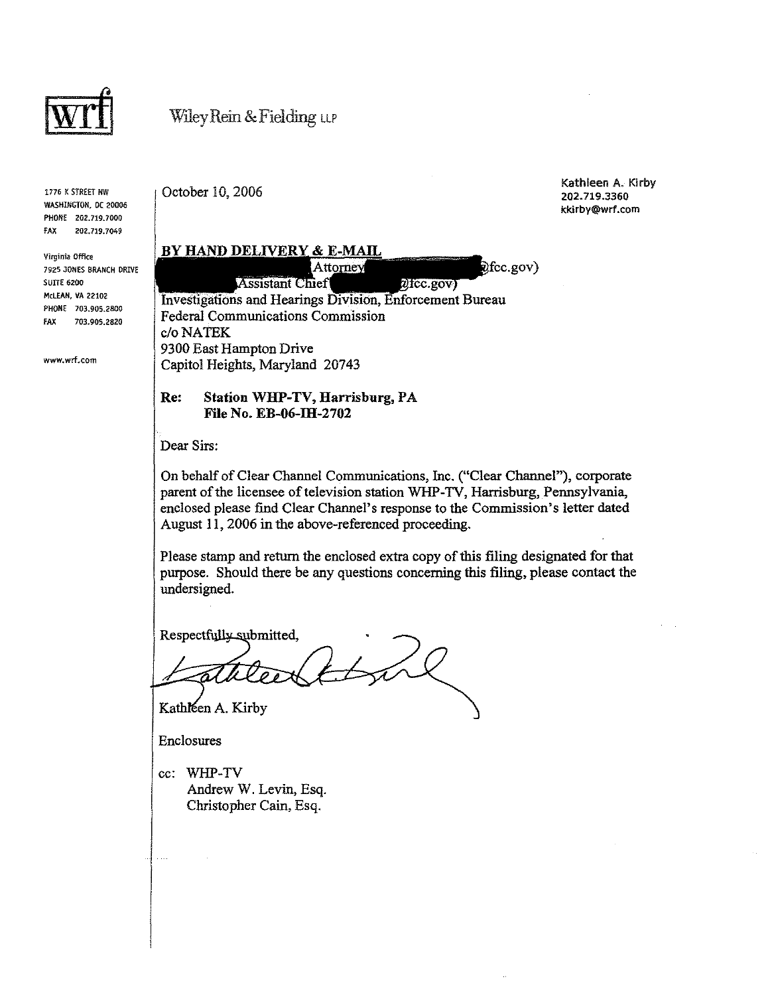

1776 K STREET NW WASHINGTON, DC 20006 PHONE 202.719.7000 fAX 202.719.7049

Virginia Office 7925 JONES BRANCH DRIVE SUITE 6200 McLEAN, VA 22102 PHONE 703.905.2800 fAX 703.905.2820

www.wrf.com

October 10, 2006

Kathleen A. Kirby 202.719.3360 kkirby@wrf.com

Ofcc.gov)

## BY HAND DELIVERY & E-MAIL

**Assistant Chief** 

 $\eta$ fcc.gov) Investigations and Hearings Division, Enforcement Bureau Federal Communications Commission c/o NATEK 9300 East Hampton Drive Capitol Heights, Maryland 20743

#### Re: Station WHP-TV, Harrisburg, PA File No. EB-06-IH-2702

Dear Sirs:

On behalf of Clear Channel Communications, Inc. ("Clear Channel"), corporate parent of the licensee of television station WHP-1V, Harrisburg, Pennsylvania, enclosed please find Clear Channel's response to the Commission's letter dated August 11, 2006 in the above-referenced proceeding.

Please stamp and return the enclosed extra copy of this filing designated for that purpose. Should there be any questions concerning this filing, please contact the undersigned.

Respectfully\_submitted,

Kathleen A. Kirby

Enclosures

cc: WHP-1V Andrew W. Levin, Esq. Christopher Cain, Esq.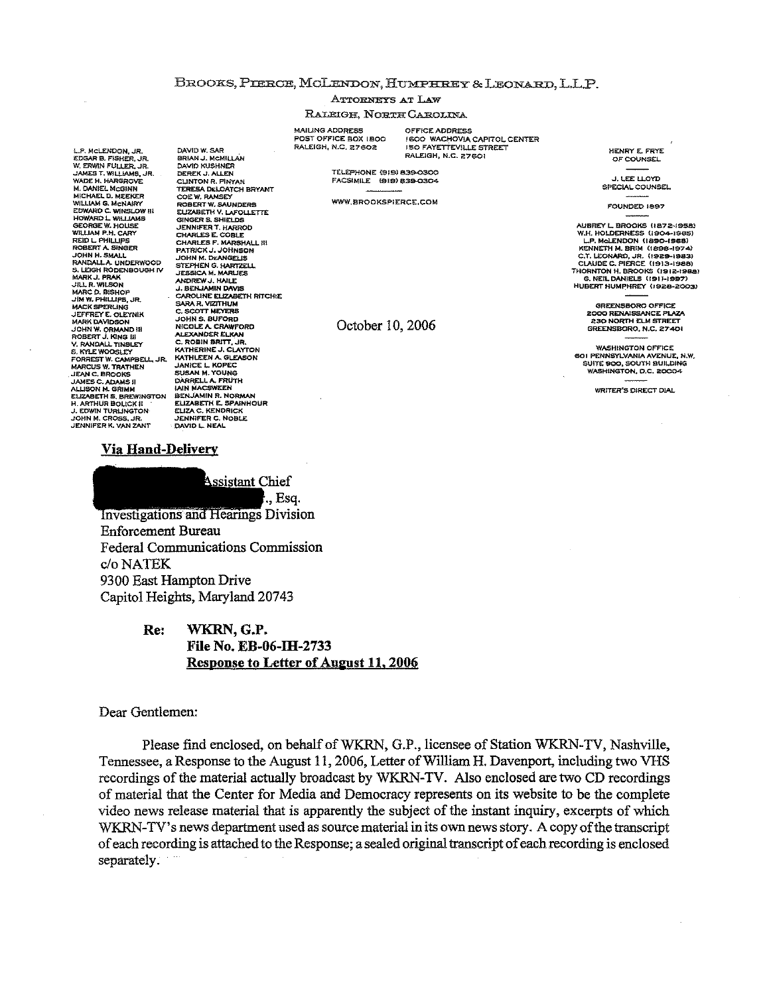#### BROOKS, PIERCE, MCLENDON, HUMPHREY & LEONARD, L.L.P.

**ATTORNEYS AT LAW** 

#### RALEIGH. NORTH CAROLINA

**MAILING ADDRESS** POST OFFICE BOX LBOO RALEIGH, N.C. 27602

OFFICE ADDRESS **I 600 WACHOVIA CAPITOL CENTER ISO FAYETTEVILLE STREET** PALEIGH, N.C. 27601

TELEPHONE (919) 839-0300 FACSIMILE (919) 839-0304

**WWW.BROOKSPIERCE.COM** 

October 10, 2006

HENRY E. FRYE OF COUNSEL

**JIFFILOYD** SPECIAL COUNSEL

FOUNDED 1897

AUBREY L. BROOKS (1872-1958) WIRKET LEROURS (1872-1956)<br>W.H. HOLDERNESS (1904-1965)<br>L.P. McLENDON (1890-1968) KENNETH M. BRIM (1898-1974) ENNED M. BROUGH (1898-1974)<br>C.T. LEONARD, JR. (1929-1983)<br>CLAUDE C. PIERCE (1913-1988)<br>THORNTON H. BROOKS (1912-1988) G. NEIL DANIELS (1911-1997)<br>HUBERT HUMPHREY (1928-2003)

> GREENSBORO OFFICE **2000 RENAISSANCE PLAZA 230 NORTH ELM STREET** GREENSBORO, N.C. 27401

**WASHINGTON OFFICE** WASHINGTON OFFICE, N.W.<br>SUITE 900, SOUTH BUILDING WASHINGTON, D.C. 20004

WRITER'S DIRECT DIAL

#### <u>Via Hand-Delivery</u>



**Investigations and Hearings Division Enforcement Bureau Federal Communications Commission** c/o NATEK 9300 East Hampton Drive Capitol Heights, Maryland 20743

DAVID W. SAR<br>BRIAN J. MCMILLAN

TERESA DELOATCH BRYANT<br>COE W. RAMSEY<br>ROBERT W. SAUNDERS

**DAVID KUSHNER** DEREK J. ALLEN<br>CLINTON R. PINYAN

#### WKRN, G.P. Re: File No. EB-06-IH-2733 Response to Letter of August 11, 2006

#### Dear Gentlemen:

Please find enclosed, on behalf of WKRN, G.P., licensee of Station WKRN-TV, Nashville, Tennessee, a Response to the August 11, 2006, Letter of William H. Davenport, including two VHS recordings of the material actually broadcast by WKRN-TV. Also enclosed are two CD recordings of material that the Center for Media and Democracy represents on its website to be the complete video news release material that is apparently the subject of the instant inquiry, excerpts of which WKRN-TV's news department used as source material in its own news story. A copy of the transcript of each recording is attached to the Response; a sealed original transcript of each recording is enclosed separately.

L.P. MCLENDON, JR.<br>EDGAR B. FISHER, JR. W. ERWIN FULLER, JR.<br>JAMES T. WILLIAMS, JR.<br>WADE H. HARGROVE M. DANIEL MCGINN **M. DANIEL MCGINN<br>MICHAEL D. MEEKER<br>WILLIAM G. MCNAIRY<br>EDWARD C. WINSLOW III<br>HOWARD L. WILLIAMS<br>GEORGE W. HOUSE<br>WILLIAM P. H. CARY<br>ROBERTA SUNGLIPS<br>ROBERTA SUNGER<br>ROBERTA SUNGER NORRY A SMALL<br>JOHN H. SMALL<br>RANDALL A UNDERWOOD<br>S. LEIGH RODENBOUGH IV<br>MARK J. PRAK III R. WILSON** MARC D. BISHOP<br>JIM W. PHILLIPS, JR. **MACK SPERLING JEFFREY E. OLEYNIK<br>MARK DAVIDSON<br>JOHN W. ORMAND III<br>ROBERT J. KING III** *NURDALL TINGUEY<br>S. KYLE WOOSLEY<br>FORREST W. CAMPBELL, JR.<br>MARCUS W. TRATHEN* JEAN C. BROOKS JEAN L. BROUNS<br>JAMES C. ADAMS II<br>ALLISON M. GRIMM **ELIZABETH S. BREWINGTON H. ARTHUR BOLICK II** H. ANTHUR BOLICK II<br>J. EDWIN TURLINGTON<br>JOHN M. CROSS, JR.<br>JENNIFER K. VAN ZANT

ROBERT W. SAUNDERS<br>EIZABERT V. LAFOLLETTE<br>GINGER S. SHIELDS<br>JENNIFER T. HARROD<br>CHARLES F. MARSHALL III<br>CHARLES F. MARSHALL III<br>PATRICK J. JOHNSON **JOHN M. DEANGELIS** STEPHEN G. HARTZELL<br>JESSICA M. MARLIES<br>ANDREW J. HAILE J. BENJAMIN DAVIS **CAROLINE ELIZABETH RITCHIE**<br>SARA R. VIZITHUM C. SCOTT MEYERS **JOHN S. BUFORD<br>NICOLE A. CRAWFORD** ALFXANDER ELKAN ALEXANDER ELKAN<br>C. ROBIN BRITT, JR.<br>KATHERINE J. CLAYTON<br>KATHLEEN A. GLEASON KATHLEEN A GLEAD<br>JANICE L. KOPEC<br>SUSAN M. YOUNG<br>DARRELL A. FRUTH **IAIN MAL-SWEEN<br>BENJAMIN R. NORMAN<br>ELIZABETH E. SPAINHOUR** ELIZA C. KENDRICK<br>JENNIFER C. NOBLE<br>DAVID L. NEAL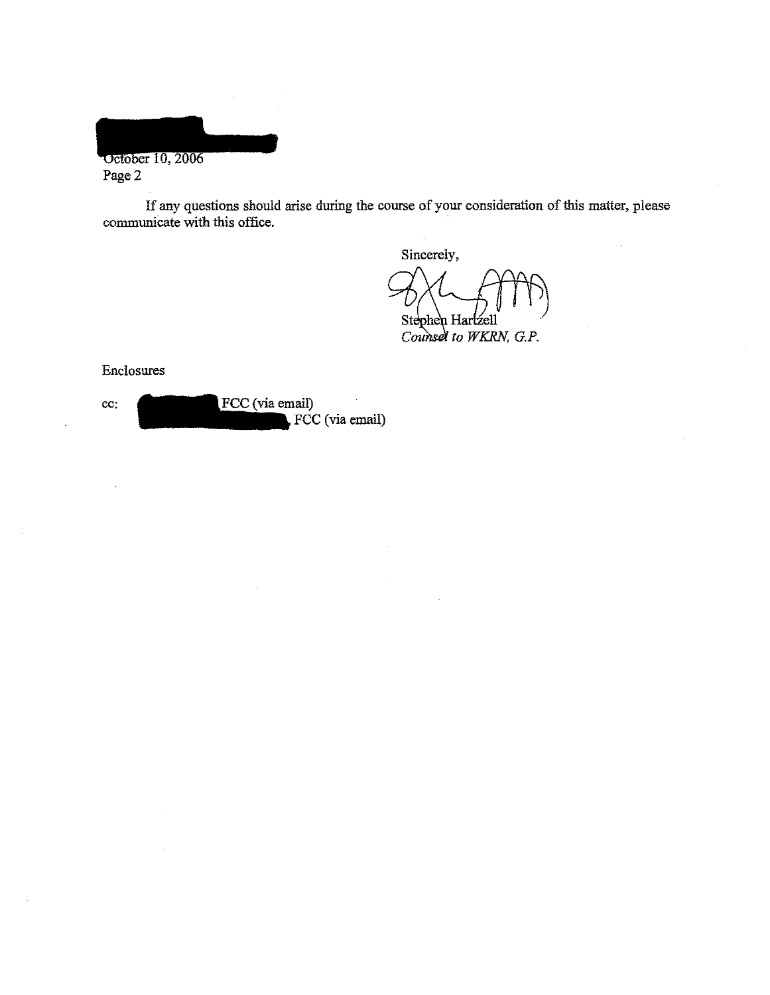October 10, 2006 Page 2

If any questions should arise during the course of your consideration of this matter, please communicate with this office.

Sincerely, Stephen Hartzell Counsel to WKRN, G.P.

#### Enclosures

cc: FCC (via email) FCC (via email)